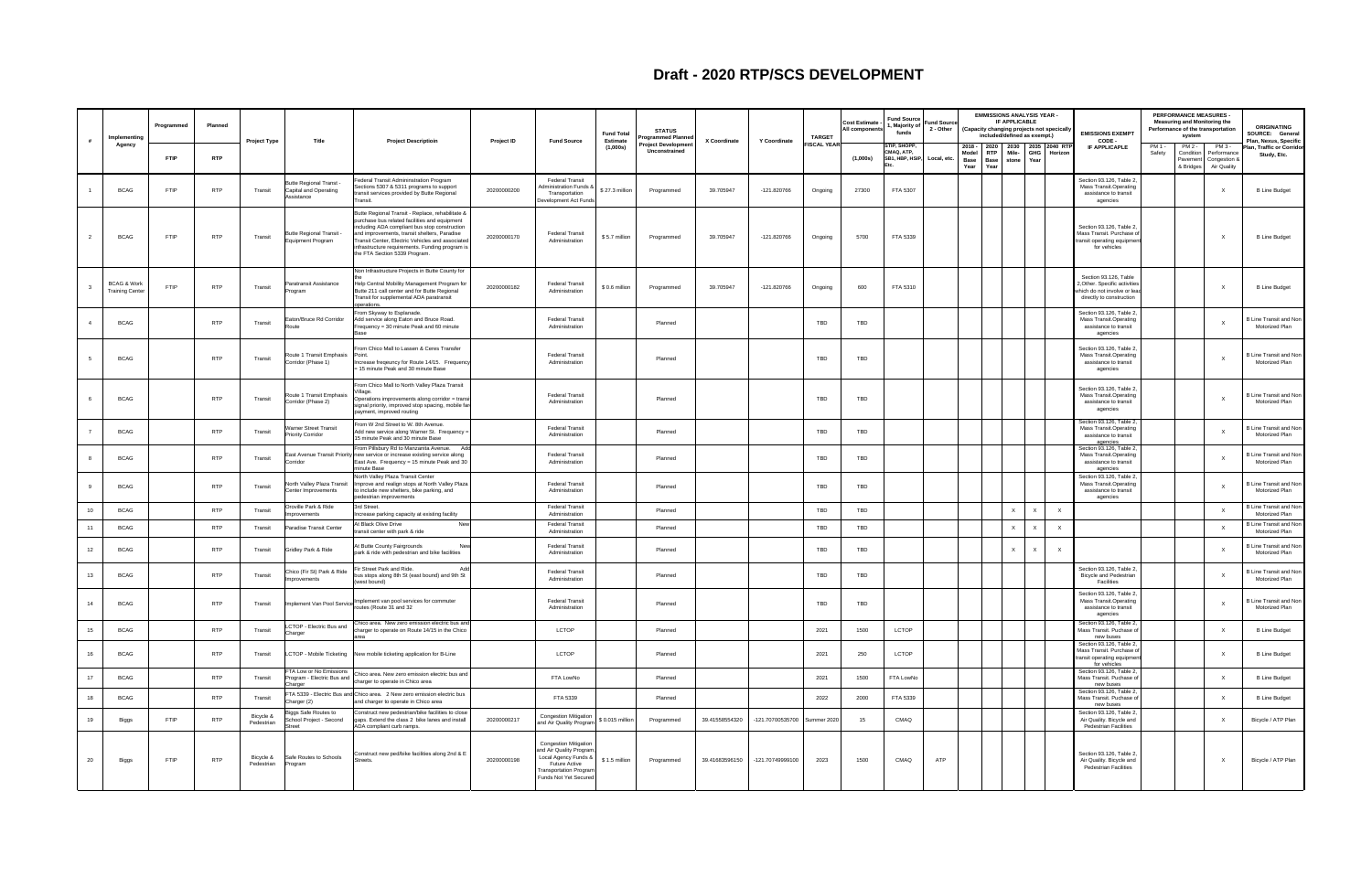|    | Implementing                                     | Programmed  | Planned    |                         |                                                              |                                                                                                                                                                                                                                                                                                                                            |             |                                                                                                                                                                          | <b>Fund Total</b>           | <b>STATUS</b><br>rogrammed Planne   |                |                  | <b>TARGET</b>     | <b>Cost Estimate</b><br>All component | <b>Fund Source</b><br>I, Majority of<br>funds | <b>Fund Sourc</b><br>2 - Other |                       | <b>EMMISSIONS ANALYSIS YEAR -</b><br>(Capacity changing projects not specicall<br>included/defined as exempt.) | IF APPLICABLE |              | <b>EMISSIONS EXEMPT</b>                                                                                            | PERFORMANCE MEASURES -<br><b>Measuring and Monitoring the</b><br>Performance of the transportation<br>system             | <b>ORIGINATING</b><br>SOURCE: General                            |
|----|--------------------------------------------------|-------------|------------|-------------------------|--------------------------------------------------------------|--------------------------------------------------------------------------------------------------------------------------------------------------------------------------------------------------------------------------------------------------------------------------------------------------------------------------------------------|-------------|--------------------------------------------------------------------------------------------------------------------------------------------------------------------------|-----------------------------|-------------------------------------|----------------|------------------|-------------------|---------------------------------------|-----------------------------------------------|--------------------------------|-----------------------|----------------------------------------------------------------------------------------------------------------|---------------|--------------|--------------------------------------------------------------------------------------------------------------------|--------------------------------------------------------------------------------------------------------------------------|------------------------------------------------------------------|
| #  | Agency                                           | <b>FTIP</b> | <b>RTP</b> | Project Type            | Title                                                        | <b>Project Descriptioin</b>                                                                                                                                                                                                                                                                                                                | Project ID  | <b>Fund Source</b>                                                                                                                                                       | <b>Estimate</b><br>(1,000s) | Project Developmer<br>Unconstrained | X Coordinate   | Y Coordinate     | <b>ISCAL YEAR</b> | (1,000s)                              | STIP, SHOPP,<br>CMAQ, ATP,<br>SB1, HBP, HSIP  | Local, etc.                    | Model<br>Base<br>Year | 2018 - 2020 2030 2035 2040 RTF<br>RTP  <br>Mile-<br><b>Base</b><br>Year                                        | stone Year    | GHG Horizon  | CODE -<br>IF APPLICAPLE                                                                                            | PM 1 -<br>PM 2 -<br>PM 3 -<br>Safety<br>Condition<br>Performance<br>Pavement<br>Congestion &<br>& Bridges<br>Air Quality | Plan, Nexus, Specific<br>lan, Traffic or Corridor<br>Study, Etc. |
|    | <b>BCAG</b>                                      | <b>FTIP</b> | <b>RTP</b> | Transit                 | Butte Regional Transt<br>Capital and Operating<br>Assistance | Federal Transit Admininstration Program<br>Sections 5307 & 5311 programs to support<br>transit services provided by Butte Regional<br>Transit.                                                                                                                                                                                             | 20200000200 | Federal Transit<br><b>Administration Funds &amp;</b><br>Transportation<br>Development Act Funds                                                                          | \$27.3 million              | Programmed                          | 39.705947      | $-121.820766$    | Ongoing           | 27300                                 | FTA 5307                                      |                                |                       |                                                                                                                |               |              | Section 93.126, Table 2,<br><b>Mass Transit.Operating</b><br>assistance to transit<br>agencies                     | X                                                                                                                        | <b>B Line Budget</b>                                             |
|    | <b>BCAG</b>                                      | <b>FTIP</b> | <b>RTP</b> | Transit                 | Butte Regional Transit -<br>Equipment Program                | Butte Regional Transit - Replace, rehabilitate &<br>purchase bus related facilities and equipment<br>including ADA compliant bus stop construction<br>and improvements, transit shelters, Paradise<br>Transit Center, Electric Vehicles and associated<br>infrastructure requirements. Funding program is<br>the FTA Section 5339 Program. | 20200000170 | <b>Federal Transit</b><br>Administration                                                                                                                                 | \$5.7 million               | Programmed                          | 39.705947      | -121.820766      | Ongoing           | 5700                                  | FTA 5339                                      |                                |                       |                                                                                                                |               |              | Section 93.126, Table 2,<br>Mass Transit. Purchase of<br>transit operating equipmen<br>for vehicles                | X                                                                                                                        | <b>B Line Budget</b>                                             |
|    | <b>BCAG &amp; Work</b><br><b>Training Center</b> | FTIP        | <b>RTP</b> | Transit                 | Paratransit Assistance<br>Program                            | Non Infrastructure Projects in Butte County for<br>Help Central Mobility Management Program for<br>Butte 211 call center and for Butte Regional<br>Transit for supplemental ADA paratransit<br>operations.                                                                                                                                 | 20200000182 | Federal Transit<br>Administration                                                                                                                                        | \$0.6 million               | Programmed                          | 39.705947      | -121.820766      | Ongoing           | 600                                   | FTA 5310                                      |                                |                       |                                                                                                                |               |              | Section 93.126, Table<br>2, Other. Specific activities<br>which do not involve or lead<br>directly to construction | X                                                                                                                        | <b>B Line Budget</b>                                             |
|    | <b>BCAG</b>                                      |             | <b>RTP</b> | Transit                 | Eaton/Bruce Rd Corridor<br>at⊔n⊊                             | From Skyway to Esplanade.<br>Add service along Eaton and Bruce Road.<br>Frequency = 30 minute Peak and 60 minute                                                                                                                                                                                                                           |             | <b>Federal Transit</b><br>Administration                                                                                                                                 |                             | Planned                             |                |                  | TBD               | TBD                                   |                                               |                                |                       |                                                                                                                |               |              | Section 93.126, Table 2,<br><b>Mass Transit.Operating</b><br>assistance to transit<br>agencies                     | X                                                                                                                        | 3 Line Transit and Non<br>Motorized Plan                         |
|    | <b>BCAG</b>                                      |             | <b>RTP</b> | Transit                 | Route 1 Transit Emphasis<br>Corridor (Phase 1)               | From Chico Mall to Lassen & Ceres Transfer<br>Point<br>Increase freqeuncy for Route 14/15. Frequency<br>= 15 minute Peak and 30 minute Base                                                                                                                                                                                                |             | <b>Federal Transit</b><br>Administration                                                                                                                                 |                             | Planned                             |                |                  | TBD               | TBD                                   |                                               |                                |                       |                                                                                                                |               |              | Section 93.126, Table 2<br><b>Mass Transit.Operating</b><br>assistance to transit<br>agencies                      | X                                                                                                                        | <b>B Line Transit and Non</b><br>Motorized Plan                  |
|    | <b>BCAG</b>                                      |             | <b>RTP</b> | Transit                 | Route 1 Transit Emphasis<br>Corridor (Phase 2)               | From Chico Mall to North Valley Plaza Transit<br>Operations improvements along corridor = transi<br>signal priority, improved stop spacing, mobile far<br>payment, improved routing                                                                                                                                                        |             | <b>Federal Transit</b><br>Administration                                                                                                                                 |                             | Planned                             |                |                  | TBD               | TBD                                   |                                               |                                |                       |                                                                                                                |               |              | Section 93.126, Table 2<br><b>Mass Transit.Operating</b><br>assistance to transit<br>agencies                      |                                                                                                                          | <b>B Line Transit and Non</b><br>Motorized Plan                  |
|    | <b>BCAG</b>                                      |             | <b>RTP</b> | Transit                 | <b>Narner Street Transit</b><br>Priority Corridor            | From W 2nd Street to W. 8th Avenue.<br>Add new service along Warner St. Frequency =<br>15 minute Peak and 30 minute Base                                                                                                                                                                                                                   |             | <b>Federal Transit</b><br>Administration                                                                                                                                 |                             | Planned                             |                |                  | TBD               | TBD                                   |                                               |                                |                       |                                                                                                                |               |              | Section 93.126, Table 2,<br>Mass Transit.Operating<br>assistance to transit<br>agencies                            | $\mathsf{x}$                                                                                                             | 3 Line Transit and Non<br>Motorized Plan                         |
|    | <b>BCAG</b>                                      |             | <b>RTP</b> | Transit                 | Corridor                                                     | From Pillsbury Rd to Manzanita Avenue. Ad<br>East Avenue Transit Priority new service or increase existing service along<br>East Ave. Frequency = 15 minute Peak and 30<br>ninute Base                                                                                                                                                     |             | <b>Federal Transit</b><br>Administration                                                                                                                                 |                             | Planned                             |                |                  | TBD               | TBD                                   |                                               |                                |                       |                                                                                                                |               |              | Section 93.126, Table 2,<br>Mass Transit.Operating<br>assistance to transit<br>agencies                            | $\mathsf{x}$                                                                                                             | 3 Line Transit and Non<br>Motorized Plan                         |
|    | <b>BCAG</b>                                      |             | <b>RTP</b> | Transit                 | North Valley Plaza Transit<br>Center Improvements            | North Valley Plaza Transit Center<br>Improve and realign stops at North Valley Plaza<br>to include new shelters, bike parking, and<br>pedestrian improvements                                                                                                                                                                              |             | <b>Federal Transit</b><br>Administration                                                                                                                                 |                             | Planned                             |                |                  | TBD               | TBD                                   |                                               |                                |                       |                                                                                                                |               |              | Section 93.126, Table 2,<br>Mass Transit.Operating<br>assistance to transit<br>agencies                            | $\mathsf{x}$                                                                                                             | <b>B Line Transit and Non</b><br>Motorized Plan                  |
| 10 | <b>BCAG</b>                                      |             | <b>RTP</b> | Transit                 | Oroville Park & Ride<br>mprovements                          | 3rd Street.<br>Increase parking capacity at existing facility                                                                                                                                                                                                                                                                              |             | <b>Federal Transit</b><br>Administration                                                                                                                                 |                             | Planned                             |                |                  | TBD               | TBD                                   |                                               |                                |                       | $\times$                                                                                                       | $\mathsf{X}$  | $\mathsf{X}$ |                                                                                                                    |                                                                                                                          | <b>B Line Transit and Non</b><br>Motorized Plan                  |
|    | <b>BCAG</b>                                      |             | <b>RTP</b> | Transit                 | Paradise Transit Center                                      | At Black Olive Drive<br>New<br>ransit center with park & ride                                                                                                                                                                                                                                                                              |             | <b>Federal Transit</b><br>Administration                                                                                                                                 |                             | Planned                             |                |                  | TBD               | TBD                                   |                                               |                                |                       | $\times$                                                                                                       | $\times$      | $\mathsf{X}$ |                                                                                                                    | $\mathsf{x}$                                                                                                             | <b>B Line Transit and Nor</b><br>Motorized Plan                  |
| 12 | <b>BCAG</b>                                      |             | <b>RTP</b> | Transit                 | Gridley Park & Ride                                          | At Butte County Fairgrounds<br>park & ride with pedestrian and bike facilities                                                                                                                                                                                                                                                             |             | <b>Federal Transit</b><br>Administration                                                                                                                                 |                             | Planned                             |                |                  | TBD               | TBD                                   |                                               |                                |                       | $\mathsf{X}$                                                                                                   | $\mathsf{X}$  | $\mathsf{X}$ |                                                                                                                    | $\mathsf{X}$                                                                                                             | 3 Line Transit and Non<br>Motorized Plan                         |
| 13 | <b>BCAG</b>                                      |             | <b>RTP</b> | Transit                 | Chico (Fir St) Park & Ride<br>nprovements                    | Fir Street Park and Ride.<br>us stops along 8th St (east bound) and 9th St<br>west bound)                                                                                                                                                                                                                                                  |             | <b>Federal Transit</b><br>Administration                                                                                                                                 |                             | Planned                             |                |                  | TBD               | TBD                                   |                                               |                                |                       |                                                                                                                |               |              | Section 93.126, Table 2,<br><b>Bicycle and Pedestrian</b><br>Facilities                                            | $\mathsf{X}$                                                                                                             | <b>B Line Transit and Non</b><br>Motorized Plan                  |
| 14 | <b>BCAG</b>                                      |             | <b>RTP</b> | Transit                 |                                                              | Implement Van Pool Service Implement van pool services for commuter                                                                                                                                                                                                                                                                        |             | Federal Transit<br>Administration                                                                                                                                        |                             | Planned                             |                |                  | TBD               | <b>TBD</b>                            |                                               |                                |                       |                                                                                                                |               |              | Section 93.126, Table 2,<br><b>Mass Transit.Operating</b><br>assistance to transit<br>agencies                     |                                                                                                                          | B Line Transit and Non<br>Motorized Plan                         |
| 15 | <b>BCAG</b>                                      |             | <b>RTP</b> | Transit                 | CTOP - Electric Bus and<br>Charger                           | Chico area. New zero emission electric bus and<br>charger to operate on Route 14/15 in the Chico<br>area                                                                                                                                                                                                                                   |             | LCTOP                                                                                                                                                                    |                             | Planned                             |                |                  | 2021              | 1500                                  | LCTOP                                         |                                |                       |                                                                                                                |               |              | Section 93.126, Table 2,<br>Mass Transit. Puchase of<br>new buses                                                  | $\mathsf{X}$                                                                                                             | <b>B Line Budget</b>                                             |
| 16 | <b>BCAG</b>                                      |             | <b>RTP</b> | Transit                 |                                                              | LCTOP - Mobile Ticketing New mobile ticketing application for B-Line                                                                                                                                                                                                                                                                       |             | LCTOP                                                                                                                                                                    |                             | Planned                             |                |                  | 2021              | 250                                   | LCTOP                                         |                                |                       |                                                                                                                |               |              | Section 93.126, Table 2,<br>Mass Transit. Purchase of<br>transit operating equipment<br>for vehicles               | X                                                                                                                        | <b>B Line Budget</b>                                             |
| 17 | <b>BCAG</b>                                      |             | <b>RTP</b> | Transit                 |                                                              | Program - Electric Bus and Chico area. New zero emission electric bus and<br>charger to operate in Chico area                                                                                                                                                                                                                              |             | FTA LowNo                                                                                                                                                                |                             | Planned                             |                |                  | 2021              | 1500                                  | FTA LowNo                                     |                                |                       |                                                                                                                |               |              | Section 93.126, Table 2,<br>Mass Transit. Puchase of                                                               | $\mathsf{X}$                                                                                                             | <b>B Line Budget</b>                                             |
| 18 | <b>BCAG</b>                                      |             | <b>RTP</b> | Transit                 | Charger<br>Charger (2)                                       | FTA 5339 - Electric Bus and Chico area. 2 New zero emission electric bus<br>and charger to operate in Chico area                                                                                                                                                                                                                           |             | FTA 5339                                                                                                                                                                 |                             | Planned                             |                |                  | 2022              | 2000                                  | FTA 5339                                      |                                |                       |                                                                                                                |               |              | new buses<br>Section 93.126, Table 2,<br>Mass Transit. Puchase of                                                  | $\mathsf{X}$                                                                                                             | <b>B Line Budget</b>                                             |
| 19 | Biggs                                            | <b>FTIP</b> | <b>RTP</b> | Bicycle &<br>Pedestrian | Biggs Safe Routes to<br>School Project - Second              | Construct new pedestrian/bike facilities to close<br>gaps. Extend the class 2 bike lanes and install<br>ADA compliant curb ramps.                                                                                                                                                                                                          | 20200000217 | Congestion Mitigation<br>and Air Quality Program                                                                                                                         | \$0.015 million             | Programmed                          | 39.41558554320 | -121.70700535700 | Summer 2020       | 15                                    | CMAQ                                          |                                |                       |                                                                                                                |               |              | new buses<br>Section 93.126, Table 2,<br>Air Quality. Bicycle and<br>Pedestrian Facilities                         | X                                                                                                                        | Bicycle / ATP Plan                                               |
| 20 | Biggs                                            | <b>FTIP</b> | <b>RTP</b> | Bicycle &<br>Pedestrian | Safe Routes to Schools<br>Program                            | Construct new ped/bike facilities along 2nd & E<br>reets.                                                                                                                                                                                                                                                                                  | 20200000198 | Congestion Mitigation<br>and Air Quality Program<br>Local Agency Funds & \$1.5 million<br><b>Future Active</b><br><b>Transportation Program</b><br>Funds Not Yet Secured |                             | Programmed                          | 39.41683596150 | -121.70749999100 | 2023              | 1500                                  | CMAQ                                          | ATP                            |                       |                                                                                                                |               |              | Section 93.126, Table 2,<br>Air Quality. Bicycle and<br><b>Pedestrian Facilities</b>                               | $\mathsf{X}$                                                                                                             | Bicycle / ATP Plan                                               |

## **Draft - 2020 RTP/SCS DEVELOPMENT**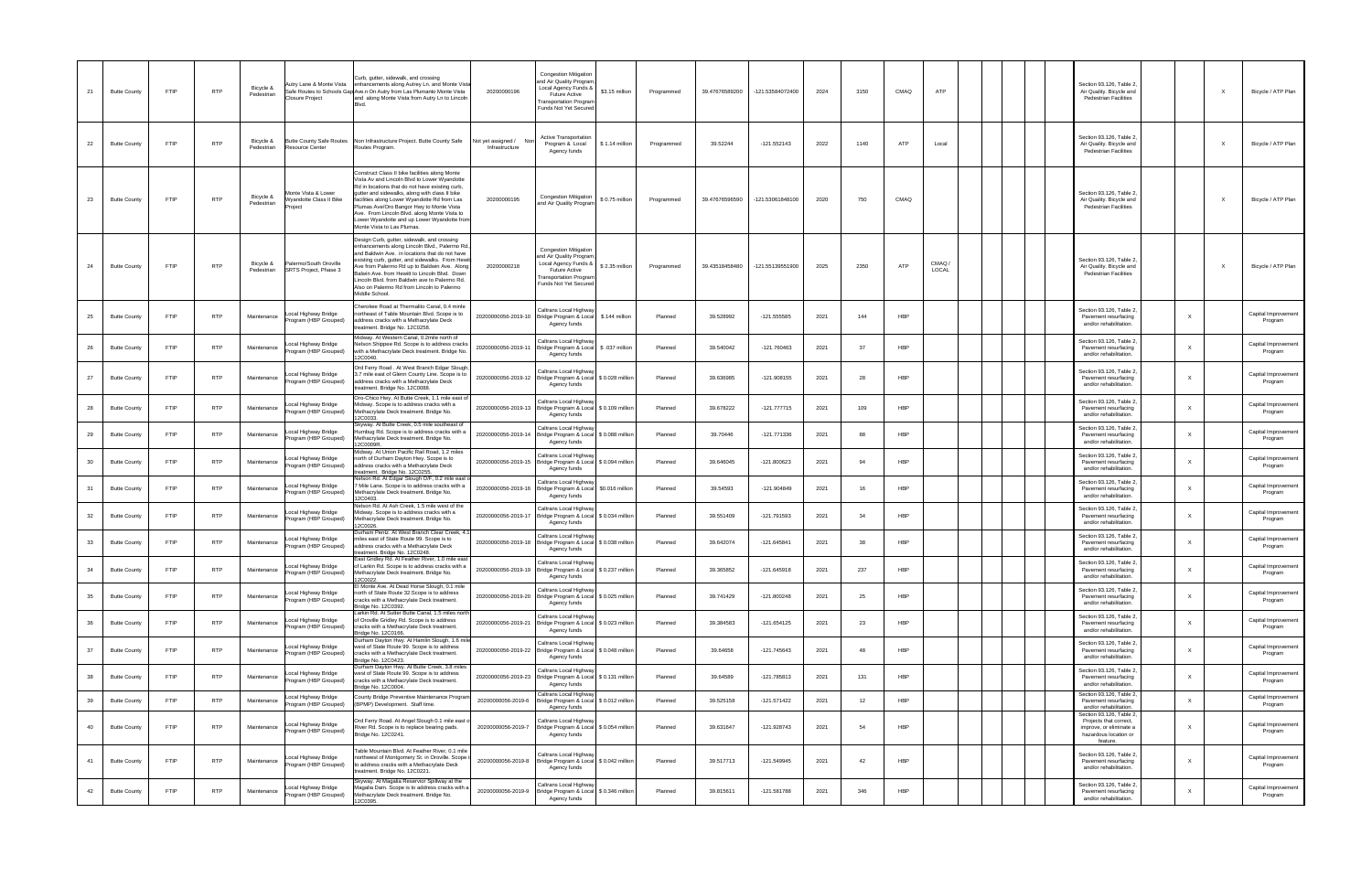| 21 | <b>Butte County</b> | <b>FTIP</b> | <b>RTP</b> | Bicycle &<br>Pedestrian | Closure Project                                                 | Curb, gutter, sidewalk, and crossing<br>Autry Lane & Monte Vista enhancements along Autrey Ln. and Monte Vista<br>Safe Routes to Schools Gap Ave.n On Autry from Las Plumanto Monte Vista<br>and along Monte Vista from Autry Ln to Lincoln                                                                                                                                                                                 | <b>Congestion Mitigation</b><br>and Air Quality Progran<br>Local Agency Funds &<br>20200000196<br><b>Future Active</b><br><b>Transportation Program</b><br>Funds Not Yet Secured | \$3.15 million | Programmed | 39.47676589200 | -121.53584072400 | 2024 | 3150 | CMAQ       | ATP            |  | Section 93.126, Table 2,<br>Air Quality. Bicycle and<br>Pedestrian Facilities                                      |              | Bicycle / ATP Plan             |
|----|---------------------|-------------|------------|-------------------------|-----------------------------------------------------------------|-----------------------------------------------------------------------------------------------------------------------------------------------------------------------------------------------------------------------------------------------------------------------------------------------------------------------------------------------------------------------------------------------------------------------------|----------------------------------------------------------------------------------------------------------------------------------------------------------------------------------|----------------|------------|----------------|------------------|------|------|------------|----------------|--|--------------------------------------------------------------------------------------------------------------------|--------------|--------------------------------|
| 22 | <b>Butte County</b> | <b>FTIP</b> | <b>RTP</b> | Bicycle &<br>Pedestrian | Butte County Safe Routes<br>Resource Center                     | Non Infrastructure Project. Butte County Safe<br>Routes Program.                                                                                                                                                                                                                                                                                                                                                            | <b>Active Transportation</b><br>Not yet assigned /<br>Program & Local<br>Infrastructure<br>Agency funds                                                                          | \$1.14 million | Programmed | 39.52244       | $-121.552143$    | 2022 | 1140 | ATP        | Local          |  | Section 93.126, Table 2,<br>Air Quality. Bicycle and<br><b>Pedestrian Facilities</b>                               |              | Bicycle / ATP Plan             |
| 23 | <b>Butte County</b> | FTIP        | <b>RTP</b> | Bicycle &<br>Pedestrian | Monte Vista & Lower<br><b>Nyandotte Class II Bike</b><br>roiect | Construct Class II bike facilities along Monte<br>Vista Av and Lincoln Blvd to Lower Wyandotte<br>Rd in locations that do not have existing curb,<br>gutter and sidewalks, along with class II bike<br>facilities along Lower Wyandotte Rd from Las<br>Plumas Ave/Oro Bangor Hwy to Monte Vista<br>ive. From Lincoln Blvd. along Monte Vista to<br>ower Wyandotte and up Lower Wyandotte from<br>Monte Vista to Las Plumas. | Congestion Mitigation<br>20200000195<br>and Air Quality Program                                                                                                                  | \$0.75 million | Programmed | 39.47676596590 | -121.53061848100 | 2020 | 750  | CMAQ       |                |  | Section 93.126, Table 2,<br>Air Quality. Bicycle and<br><b>Pedestrian Facilities</b>                               |              | Bicycle / ATP Plan             |
| 24 | <b>Butte County</b> | <b>FTIP</b> | <b>RTP</b> | Bicycle &<br>Pedestrian | Palermo/South Oroville<br>SRTS Project, Phase 3                 | Design Curb, gutter, sidewalk, and crossing<br>nhancements along Lincoln Blvd., Palermo Rd.<br>and Baldwin Ave. in locations that do not have<br>xisting curb, gutter, and sidewalks. From Hewi<br>Ave from Palermo Rd up to Baldwin Ave. Along<br>Balwin Ave. from Hewitt to Lincoln Blvd. Down<br>Lincoln Blvd. from Baldwin ave to Palermo Rd.<br>Also on Palermo Rd from Lincoln to Palermo<br>Middle School.           | <b>Congestion Mitigation</b><br>and Air Quality Progran<br>Local Agency Funds &<br>20200000218<br><b>Future Active</b><br><b>Transportation Progran</b><br>Funds Not Yet Secured | \$2.35 million | Programmed | 39.43518458480 | -121.55139551900 | 2025 | 2350 | ATP        | CMAQ/<br>LOCAL |  | Section 93.126, Table 2,<br>Air Quality. Bicycle and<br><b>Pedestrian Facilities</b>                               |              | Bicycle / ATP Plan             |
| 25 | <b>Butte County</b> | <b>FTIP</b> | <b>RTP</b> | Maintenance             | ocal Highway Bridge<br>Program (HBP Grouped)                    | Cherokee Road at Thermalito Canal, 0.4 minle<br>northeast of Table Mountain Blvd. Scope is to<br>address cracks with a Methacrylate Deck<br>reatment. Bridge No. 12C0258.                                                                                                                                                                                                                                                   | Caltrans Local Highway<br>20200000056-2019-10 Bridge Program & Local \$.144 million<br>Agency funds                                                                              |                | Planned    | 39.528992      | $-121.555585$    | 2021 | 144  | <b>HBP</b> |                |  | Section 93.126, Table 2<br>Pavement resurfacing<br>and/or rehabilitation.                                          |              | Capital Improvement<br>Program |
| 26 | <b>Butte County</b> | FTIP        | <b>RTP</b> | Maintenance             | ocal Highway Bridge<br>Program (HBP Grouped)                    | <i>A</i> idway. At Western Canal, 0.2mile north of<br>lelson Shippee Rd. Scope is to address cracks<br>with a Methacrylate Deck treatment. Bridge No.<br>2C0040.                                                                                                                                                                                                                                                            | Caltrans Local Highwa<br>20200000056-2019-11<br>Bridge Program & Local \$ .037 million<br>Agency funds                                                                           |                | Planned    | 39.540042      | -121.760463      | 2021 | -37  | HBP        |                |  | Section 93.126, Table 2,<br>Pavement resurfacing<br>and/or rehabilitation.                                         | $\times$     | Capital Improvement<br>Program |
| 27 | <b>Butte County</b> | FTIP        | <b>RTP</b> | Maintenance             | ocal Highway Bridge.<br>Program (HBP Grouped)                   | Ord Ferry Road . At West Branch Edgar Slough<br>3.7 mile east of Glenn County Line. Scope is to<br>address cracks with a Methacrylate Deck<br>eatment. Bridge No. 12C0088.                                                                                                                                                                                                                                                  | Caltrans Local Highwa<br>20200000056-2019-12   Bridge Program & Local \$ 0.028 million<br>Agency funds                                                                           |                | Planned    | 39.636985      | $-121.908155$    | 2021 | 28   | <b>HBP</b> |                |  | Section 93.126, Table 2<br>Pavement resurfacing<br>and/or rehabilitation.                                          | $\times$     | Capital Improvement<br>Program |
| 28 | <b>Butte County</b> | FTIP        | <b>RTP</b> | Maintenance             | ocal Highway Bridge<br>rogram (HBP Grouped)                     | Oro-Chico Hwy. At Butte Creek, 1.1 mile east of<br>idway. Scope is to address cracks with a<br>Methacrylate Deck treatment. Bridge No.<br>2C0033.                                                                                                                                                                                                                                                                           | Caltrans Local Highwa<br>20200000056-2019-13 Bridge Program & Local \$ 0.109 million<br>Agency funds                                                                             |                | Planned    | 39.678222      | $-121.777715$    | 2021 | 109  | <b>HBP</b> |                |  | Section 93.126, Table 2,<br>Pavement resurfacing<br>and/or rehabilitation.                                         | $\times$     | Capital Improvement<br>Program |
| 29 | <b>Butte County</b> | FTIP        | <b>RTP</b> | Maintenance             | ocal Highway Bridge<br>rogram (HBP Grouped)                     | Skyway. At Butte Creek, 0.5 mile southeast of<br>lumbug Rd. Scope is to address cracks with a<br>Methacrylate Deck treatment. Bridge No.<br>2C0009R                                                                                                                                                                                                                                                                         | Caltrans Local Highwa<br>20200000056-2019-14 Bridge Program & Local \$ 0.088 million<br>Agency funds                                                                             |                | Planned    | 39.70446       | $-121.771336$    | 2021 | 88   | <b>HBP</b> |                |  | Section 93.126, Table 2,<br>Pavement resurfacing<br>and/or rehabilitation.                                         | $\times$     | Capital Improvement<br>Program |
| 30 | <b>Butte County</b> | FTIP        | <b>RTP</b> | Maintenance             | ocal Highway Bridge.<br>rogram (HBP Grouped)                    | Midway. At Union Pacific Rail Road, 1.2 miles<br>north of Durham Dayton Hwy. Scope is to<br>address cracks with a Methacrylate Deck<br>reatment. Bridge No. 12C0255                                                                                                                                                                                                                                                         | Caltrans Local Highwa<br>20200000056-2019-15 Bridge Program & Local \$ 0.094 million<br>Agency funds                                                                             |                | Planned    | 39.646045      | $-121.800623$    | 2021 | 94   | <b>HBP</b> |                |  | Section 93.126, Table 2,<br>Pavement resurfacing<br>and/or rehabilitation.                                         | $\times$     | Capital Improvement<br>Program |
| 31 | <b>Butte County</b> | FTIP        | <b>RTP</b> | Maintenance             | ocal Highway Bridge.<br>rogram (HBP Grouped)                    | lelson Rd. At Edgar Slough O/F, 0.2 mile east o<br>7 Mile Lane. Scope is to address cracks with a<br>Methacrylate Deck treatment. Bridge No.<br>12C0403.                                                                                                                                                                                                                                                                    | Caltrans Local Highwa<br>20200000056-2019-16 Bridge Program & Local \$0.016 million<br>Agency funds                                                                              |                | Planned    | 39.54593       | -121.904849      | 2021 | 16   | <b>HBP</b> |                |  | Section 93.126, Table 2,<br>Pavement resurfacing<br>and/or rehabilitation.                                         | $\times$     | Capital Improvement<br>Program |
| 32 | <b>Butte County</b> | FTIP        | <b>RTP</b> | Maintenance             | ocal Highway Bridge.<br>rogram (HBP Grouped)                    | lelson Rd. At Ash Creek, 1.5 mile west of the<br>Midway. Scope is to address cracks with a<br>Methacrylate Deck treatment. Bridge No.<br>12C0026.                                                                                                                                                                                                                                                                           | Caltrans Local Highwa<br>20200000056-2019-17 Bridge Program & Local \$ 0.034 million<br>Agency funds                                                                             |                | Planned    | 39.551409      | -121.791593      | 2021 | 34   | <b>HBP</b> |                |  | Section 93.126, Table 2,<br>Pavement resurfacing<br>and/or rehabilitation.                                         | $\times$     | Capital Improvement<br>Program |
| 33 | <b>Butte County</b> | FTIP        | <b>RTP</b> | Maintenance             | ocal Highway Bridge<br>rogram (HBP Grouped)                     | Durham Pentz. At West Branch Clear Creek, 4.<br>iles east of State Route 99. Scope is to<br>address cracks with a Methacrylate Deck<br>reatment. Bridge No. 12C0248.                                                                                                                                                                                                                                                        | Caltrans Local Highwa<br>20200000056-2019-18 Bridge Program & Local \$ 0.038 million<br>Agency funds                                                                             |                | Planned    | 39.642074      | $-121.645841$    | 2021 | 38   | <b>HBP</b> |                |  | Section 93.126, Table 2,<br>Pavement resurfacing<br>and/or rehabilitation.                                         | $\times$     | Capital Improvement<br>Program |
| 34 | <b>Butte County</b> | <b>FTIP</b> | <b>RTP</b> | Maintenance             | ocal Highway Bridge.<br>Program (HBP Grouped)                   | East Gridley Rd. At Feather River, 1.0 mile east<br>of Larkin Rd. Scope is to address cracks with a<br>Methacrylate Deck treatment. Bridge No.<br>12C0022.                                                                                                                                                                                                                                                                  | Caltrans Local Highwa<br>20200000056-2019-19 Bridge Program & Local \$ 0.237 million<br>Agency funds                                                                             |                | Planned    | 39.365852      | $-121.645918$    | 2021 | 237  | <b>HBP</b> |                |  | Section 93.126, Table 2,<br>Pavement resurfacing<br>and/or rehabilitation.                                         | $\times$     | Capital Improvement<br>Program |
| 35 | <b>Butte County</b> | <b>FTIP</b> | <b>RTP</b> | Maintenance             | ocal Highway Bridge.<br>rogram (HBP Grouped)                    | I Monte Ave. At Dead Horse Slough, 0.1 mile<br>north of State Route 32. Scope is to address<br>cracks with a Methacrylate Deck treatment.<br>Bridge No. 12C0392.                                                                                                                                                                                                                                                            | Caltrans Local Highway<br>20200000056-2019-20 Bridge Program & Local \$ 0.025 million<br>Agency funds                                                                            |                | Planned    | 39.741429      | $-121.800248$    | 2021 | 25   | <b>HBP</b> |                |  | Section 93.126, Table 2,<br>Pavement resurfacing<br>and/or rehabilitation.                                         | $\times$     | Capital Improvement<br>Program |
| 36 | <b>Butte County</b> | <b>FTIP</b> | <b>RTP</b> | Maintenance             | ocal Highway Bridge<br>Program (HBP Grouped)                    | Larkin Rd. At Sutter Butte Canal, 1.5 miles north<br>of Oroville Gridley Rd. Scope is to address<br>cracks with a Methacrylate Deck treatment.<br>Bridge No. 12C0166.                                                                                                                                                                                                                                                       | Caltrans Local Highway<br>20200000056-2019-21<br>Bridge Program & Local \$ 0.023 million<br>Agency funds                                                                         |                | Planned    | 39.384583      | $-121.654125$    | 2021 | 23   | <b>HBP</b> |                |  | Section 93.126, Table 2,<br>Pavement resurfacing<br>and/or rehabilitation.                                         | $\times$     | Capital Improvement<br>Program |
| 37 | <b>Butte County</b> | <b>FTIP</b> | <b>RTP</b> | Maintenance             | ocal Highway Bridge.<br>Program (HBP Grouped)                   | Durham Dayton Hwy. At Hamlin Slough, 1.6 mile<br>west of State Route 99. Scope is to address<br>cracks with a Methacrylate Deck treatment.<br>Bridge No. 12C0423.                                                                                                                                                                                                                                                           | Caltrans Local Highway<br>20200000056-2019-22<br>Bridge Program & Local \$ 0.048 million<br>Agency funds                                                                         |                | Planned    | 39.64658       | $-121.745643$    | 2021 | 48   | <b>HBP</b> |                |  | Section 93.126, Table 2,<br>Pavement resurfacing<br>and/or rehabilitation.                                         | $\times$     | Capital Improvement<br>Program |
| 38 | <b>Butte County</b> | <b>FTIP</b> | <b>RTP</b> | Maintenance             | ocal Highway Bridge<br>rogram (HBP Grouped)                     | Durham Dayton Hwy. At Butte Creek, 3.8 miles<br>west of State Route 99. Scope is to address<br>cracks with a Methacrylate Deck treatment.<br>Bridge No. 12C0004.                                                                                                                                                                                                                                                            | Caltrans Local Highway<br>20200000056-2019-23<br>Bridge Program & Local \$ 0.131 million<br>Agency funds                                                                         |                | Planned    | 39.64589       | -121.785813      | 2021 | 131  | <b>HBP</b> |                |  | Section 93.126, Table 2,<br>Pavement resurfacing<br>and/or rehabilitation.                                         | $\mathsf{X}$ | Capital Improvement<br>Program |
| 39 | <b>Butte County</b> | <b>FTIP</b> | <b>RTP</b> | Maintenance             | ocal Highway Bridge.<br>rogram (HBP Grouped)                    | County Bridge Preventive Maintenance Program<br>(BPMP) Development. Staff time.                                                                                                                                                                                                                                                                                                                                             | Caltrans Local Highway<br>Bridge Program & Local \$ 0.012 million<br>20200000056-2019-6<br>Agency funds                                                                          |                | Planned    | 39.525158      | $-121.571422$    | 2021 | 12   | <b>HBP</b> |                |  | Section 93.126, Table 2,<br>Pavement resurfacing<br>and/or rehabilitation.                                         |              | Capital Improvement<br>Program |
| 40 | <b>Butte County</b> | <b>FTIP</b> | <b>RTP</b> | Maintenance             | ocal Highway Bridge<br>Program (HBP Grouped)                    | Ord Ferry Road. At Angel Slough 0.1 mile east o<br>River Rd. Scope is to replace bearing pads.<br>Bridge No. 12C0241.                                                                                                                                                                                                                                                                                                       | Caltrans Local Highway<br>20200000056-2019-7<br>Bridge Program & Local \$ 0.054 millior<br>Agency funds                                                                          |                | Planned    | 39.631647      | -121.928743      | 2021 | 54   | <b>HBP</b> |                |  | Section 93.126, Table 2,<br>Projects that correct,<br>improve, or eliminate a<br>hazardous location or<br>feature. |              | Capital Improvement<br>Program |
| 41 | <b>Butte County</b> | <b>FTIP</b> | <b>RTP</b> | Maintenance             | ocal Highway Bridge<br>Program (HBP Grouped)                    | Table Mountain Blvd. At Feather River, 0.1 mile<br>northwest of Montgomery St. in Oroville. Scope<br>to address cracks with a Methacrylate Deck<br>reatment. Bridge No. 12C0221.                                                                                                                                                                                                                                            | Caltrans Local Highway<br>20200000056-2019-8<br>Bridge Program & Local \$ 0.042 million<br>Agency funds                                                                          |                | Planned    | 39.517713      | -121.549945      | 2021 | 42   | <b>HBP</b> |                |  | Section 93.126, Table 2,<br>Pavement resurfacing<br>and/or rehabilitation.                                         | $\mathsf{x}$ | Capital Improvement<br>Program |
| 42 | <b>Butte County</b> | <b>FTIP</b> | <b>RTP</b> | Maintenance             | ocal Highway Bridge.<br>Program (HBP Grouped)                   | Skyway. At Magalia Reservior Spillway at the<br>Magalia Dam. Scope is to address cracks with a<br>Methacrylate Deck treatment. Bridge No.<br>2C0395.                                                                                                                                                                                                                                                                        | Caltrans Local Highway<br>20200000056-2019-9<br>Bridge Program & Local \$ 0.346 million<br>Agency funds                                                                          |                | Planned    | 39.815611      | $-121.581788$    | 2021 | 346  | <b>HBP</b> |                |  | Section 93.126, Table 2,<br>Pavement resurfacing<br>and/or rehabilitation.                                         | $\times$     | Capital Improvement<br>Program |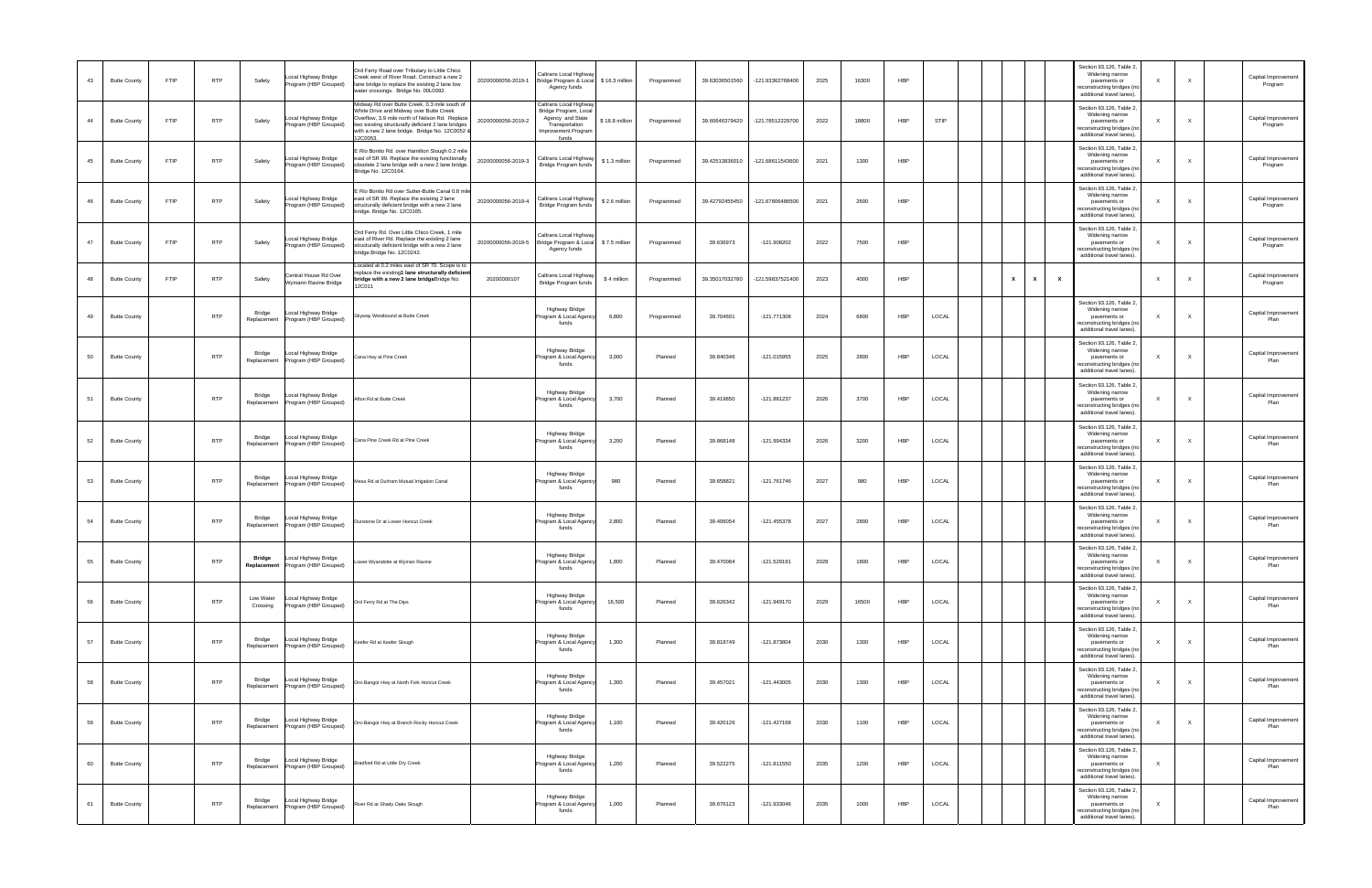| 43 | <b>Butte County</b> | <b>FTIP</b> | <b>RTP</b> | Safety                | Local Highway Bridge<br>Program (HBP Grouped)             | Ord Ferry Road over Tributary to Little Chico<br>Creek west of River Road. Construct a new 2<br>lane bridge to replace the existing 2 lane low<br>vater crossings. Bridge No. 00L0092.                                                                      | 20200000056-2019-1 | Caltrans Local Highwa<br>Bridge Program & Local<br>\$16.3 million<br>Agency funds                                                            | Programmed | 39.63036501560 | -121.93362768400 | 2025 | 16300 | HBP        |       |  |                              |              | Section 93.126, Table 2,<br>Widening narrow<br>pavements or<br>reconstructing bridges (no<br>additional travel lanes). |                           |              | Capital Improvement<br>Program |
|----|---------------------|-------------|------------|-----------------------|-----------------------------------------------------------|-------------------------------------------------------------------------------------------------------------------------------------------------------------------------------------------------------------------------------------------------------------|--------------------|----------------------------------------------------------------------------------------------------------------------------------------------|------------|----------------|------------------|------|-------|------------|-------|--|------------------------------|--------------|------------------------------------------------------------------------------------------------------------------------|---------------------------|--------------|--------------------------------|
| 44 | <b>Butte County</b> | <b>FTIP</b> | <b>RTP</b> | Safety                | Local Highway Bridge<br>Program (HBP Grouped)             | lidway Rd over Butte Creek, 0.3 mile south of<br>White Drive and Midway over Butte Creek<br>Overflow, 3.9 mile north of Nelson Rd. Replace<br>two existing structurally deficient 2 lane bridges<br>with a new 2 lane bridge. Bridge No. 12C0052<br>2C0053. | 20200000056-2019-2 | Caltrans Local Highwa<br>Bridge Program, Loca<br>Agency and State<br>\$18.8 million<br>Transportation<br><b>Improvement Program</b><br>funds | Programmed | 39.60646379420 | -121.78512229700 | 2022 | 18800 | HBP        | STIP  |  |                              |              | Section 93.126, Table 2,<br>Widening narrow<br>pavements or<br>reconstructing bridges (no<br>additional travel lanes). |                           |              | Capital Improvement<br>Program |
| 45 | <b>Butte County</b> | <b>FTIP</b> | <b>RTP</b> | Safety                | Local Highway Bridge<br>Program (HBP Grouped)             | Rio Bonito Rd. over Hamilton Slough 0.2 mile<br>ast of SR 99. Replace the existing functionally<br>obsolete 2 lane bridge with a new 2 lane bridge.<br>ridge No. 12C0164.                                                                                   | 20200000056-2019-3 | Caltrans Local Highwa<br>\$1.3 million<br>Bridge Program funds                                                                               | Programmed | 39.42513836010 | -121.68611543600 | 2021 | 1300  | <b>HBP</b> |       |  |                              |              | Section 93.126, Table 2,<br>Widening narrow<br>pavements or<br>reconstructing bridges (no<br>additional travel lanes). |                           |              | Capital Improvement<br>Program |
| 46 | <b>Butte County</b> | <b>FTIP</b> | <b>RTP</b> | Safety                | Local Highway Bridge<br>Program (HBP Grouped)             | Rio Bonito Rd over Sutter-Butte Canal 0.8 mil<br>ast of SR 99. Replace the existing 2 lane<br>structurally deficient bridge with a new 2 lane<br>ridge. Bridge No. 12C0165.                                                                                 | 20200000056-2019-4 | Caltrans Local Highwa<br>\$2.6 million<br>Bridge Program funds                                                                               | Programmed | 39.42792455450 | -121.67806486500 | 2021 | 2600  | HBP        |       |  |                              |              | Section 93.126, Table 2,<br>Widening narrow<br>pavements or<br>reconstructing bridges (no<br>additional travel lanes). |                           |              | Capital Improvement<br>Program |
| 47 | <b>Butte County</b> | <b>FTIP</b> | <b>RTP</b> | Safety                | Local Highway Bridge<br>Program (HBP Grouped)             | Ord Ferry Rd. Over Little Chico Creek, 1 mile<br>east of River Rd. Replace the existing 2 lane<br>structurally deficient bridge with a new 2 lane<br>ridge.Bridge No. 12C0242.                                                                              |                    | Caltrans Local Highwa<br>20200000056-2019-5 Bridge Program & Local<br>\$7.5 million<br>Agency funds                                          | Programmed | 39.636973      | $-121.908202$    | 2022 | 7500  | HBP        |       |  |                              |              | Section 93.126, Table 2,<br>Widening narrow<br>pavements or<br>reconstructing bridges (no<br>additional travel lanes). |                           |              | Capital Improvement<br>Program |
| 48 | <b>Butte County</b> | <b>FTIP</b> | <b>RTP</b> | Safety                | Central House Rd Over<br>Wymann Ravine Bridge             | ocated at 0.2 miles east of SR 70. Scope is to<br>place the existing1 lane structurally deficien<br>idge with a new 2 lane bridgeBridge No:<br>2C011                                                                                                        | 20200000107        | Caltrans Local Highwa<br>\$4 million<br>Bridge Program funds                                                                                 | Programmed | 39.35017032780 | -121.59837521400 | 2023 | 4000  | HBP        |       |  | $\mathbf{x}$<br>$\mathbf{x}$ | $\mathbf{x}$ |                                                                                                                        | $\mathsf{X}$              |              | Capital Improvemen<br>Program  |
| 49 | <b>Butte County</b> |             | <b>RTP</b> | Bridge<br>Replacement | Local Highway Bridge<br>Program (HBP Grouped)             | kyway Westbound at Butte Creek                                                                                                                                                                                                                              |                    | Highway Bridge<br>rogram & Local Agency<br>6,800<br>funds                                                                                    | Programmed | 39.704601      | $-121.771308$    | 2024 | 6800  | HBP        | LOCAL |  |                              |              | Section 93.126, Table 2,<br>Widening narrow<br>pavements or<br>reconstructing bridges (no<br>additional travel lanes). |                           |              | Capital Improvement<br>Plan    |
| 50 | <b>Butte County</b> |             | <b>RTP</b> | Bridge<br>Replacement | Local Highway Bridge<br>Program (HBP Grouped)             | ana Hwy at Pine Creek                                                                                                                                                                                                                                       |                    | <b>Highway Bridge</b><br>rogram & Local Agend<br>3,000<br>funds                                                                              | Planned    | 39.840346      | -121.015955      | 2025 | 2800  | HBP        | LOCAL |  |                              |              | Section 93.126, Table 2,<br>Widening narrow<br>pavements or<br>reconstructing bridges (no<br>additional travel lanes). |                           |              | Capital Improvement<br>Plan    |
| 51 | <b>Butte County</b> |             | <b>RTP</b> | Bridge<br>Replacement | Local Highway Bridge<br>Program (HBP Grouped)             | fton Rd at Butte Creek                                                                                                                                                                                                                                      |                    | <b>Highway Bridge</b><br>3,700<br>rogram & Local Agency<br>funds                                                                             | Planned    | 39.419850      | $-121.881237$    | 2026 | 3700  | HBP        | LOCAL |  |                              |              | Section 93.126, Table 2,<br>Widening narrow<br>pavements or<br>reconstructing bridges (no<br>additional travel lanes). |                           |              | Capital Improvement<br>Plan    |
| 52 | <b>Butte County</b> |             | <b>RTP</b> | Bridge<br>Replacement | Local Highway Bridge<br>Program (HBP Grouped)             | Cana Pine Creek Rd at Pine Creek                                                                                                                                                                                                                            |                    | Highway Bridge<br>Program & Local Agency<br>3,200<br>funds                                                                                   | Planned    | 39.868148      | -121.994334      | 2026 | 3200  | HBP        | LOCAL |  |                              |              | Section 93.126, Table 2,<br>Widening narrow<br>pavements or<br>reconstructing bridges (no<br>additional travel lanes). |                           |              | Capital Improvement<br>Plan    |
| 53 | <b>Butte County</b> |             | <b>RTP</b> | Bridge<br>Replacement | Local Highway Bridge<br>Program (HBP Grouped)             | esa Rd at Durham Mutual Irrigation Canal                                                                                                                                                                                                                    |                    | Highway Bridge<br>Program & Local Agency<br>980<br>funds                                                                                     | Planned    | 39.658821      | $-121.761746$    | 2027 | 980   | HBP        | LOCAL |  |                              |              | Section 93.126, Table 2,<br>Widening narrow<br>pavements or<br>reconstructing bridges (no<br>additional travel lanes). |                           |              | Capital Improvement<br>Plan    |
| 54 | <b>Butte County</b> |             | <b>RTP</b> | Bridge<br>Replacement | Local Highway Bridge<br>Program (HBP Grouped)             | unstone Dr at Lower Honcut Creek                                                                                                                                                                                                                            |                    | Highway Bridge<br>2,800<br>Program & Local Agency<br>funds                                                                                   | Planned    | 39.406054      | $-121.455378$    | 2027 | 2800  | HBP        | LOCAL |  |                              |              | Section 93.126, Table 2,<br>Widening narrow<br>pavements or<br>reconstructing bridges (no<br>additional travel lanes). |                           |              | Capital Improvement<br>Plan    |
| 55 | <b>Butte County</b> |             | <b>RTP</b> | Bridge                | Local Highway Bridge<br>Replacement Program (HBP Grouped) | wer Wyandotte at Wyman Ravine                                                                                                                                                                                                                               |                    | Highway Bridge<br>1,800<br>ogram & Local Agen<br>funds                                                                                       | Planned    | 39.470084      | $-121.529191$    | 2028 | 1800  | <b>HBP</b> | LOCAL |  |                              |              | Section 93.126, Table 2,<br>Widening narrow<br>pavements or<br>reconstructing bridges (no<br>additional travel lanes). |                           |              | Capital Improvement<br>Plan    |
| 56 | <b>Butte County</b> |             | <b>RTP</b> | Low Water<br>Crossing | Local Highway Bridge<br>Program (HBP Grouped)             | Ord Ferry Rd at The Dips                                                                                                                                                                                                                                    |                    | <b>Highway Bridge</b><br>16,500<br>Program & Local Agency<br>funds                                                                           | Planned    | 39.626342      | $-121.949170$    | 2029 | 16500 | HBP        | LOCAL |  |                              |              | Section 93.126, Table 2,<br>Widening narrow<br>pavements or<br>reconstructing bridges (no<br>additional travel lanes). | X                         | $\mathsf{x}$ | Capital Improvement<br>Plan    |
| 57 | <b>Butte County</b> |             | <b>RTP</b> | Bridge<br>Replacement | Local Highway Bridge<br>Program (HBP Grouped)             | eefer Rd at Keefer Slough                                                                                                                                                                                                                                   |                    | <b>Highway Bridge</b><br>1,300<br>Program & Local Agency<br>funds                                                                            | Planned    | 39.818749      | $-121.873804$    | 2030 | 1300  | HBP        | LOCAL |  |                              |              | Section 93.126, Table 2,<br>Widening narrow<br>pavements or<br>reconstructing bridges (no<br>additional travel lanes). | X                         |              | Capital Improvement<br>Plan    |
| 58 | <b>Butte County</b> |             | <b>RTP</b> | Bridge<br>Replacement | Local Highway Bridge<br>Program (HBP Grouped)             | Oro-Bangor Hwy at North Fork Honcut Creek                                                                                                                                                                                                                   |                    | <b>Highway Bridge</b><br>1,300<br>Program & Local Agency<br>funds                                                                            | Planned    | 39.457021      | $-121.443005$    | 2030 | 1300  | HBP        | LOCAL |  |                              |              | Section 93.126, Table 2,<br>Widening narrow<br>pavements or<br>reconstructing bridges (no<br>additional travel lanes). | X                         | $\times$     | Capital Improvement<br>Plan    |
| 59 | <b>Butte County</b> |             | <b>RTP</b> | Bridge<br>Replacement | Local Highway Bridge<br>Program (HBP Grouped)             | Oro-Bangor Hwy at Branch Rocky Honcut Creek                                                                                                                                                                                                                 |                    | Highway Bridge<br>1,100<br>Program & Local Agency<br>funds                                                                                   | Planned    | 39.420126      | $-121.427168$    | 2030 | 1100  | HBP        | LOCAL |  |                              |              | Section 93.126, Table 2,<br>Widening narrow<br>pavements or<br>reconstructing bridges (no<br>additional travel lanes). | $\boldsymbol{\mathsf{X}}$ | $\times$     | Capital Improvement<br>Plan    |
| 60 | <b>Butte County</b> |             | <b>RTP</b> | Bridge<br>Replacement | Local Highway Bridge<br>Program (HBP Grouped)             | radford Rd at Little Dry Creek                                                                                                                                                                                                                              |                    | <b>Highway Bridge</b><br>1,200<br>Program & Local Agency<br>funds                                                                            | Planned    | 39.522275      | $-121.811550$    | 2035 | 1200  | HBP        | LOCAL |  |                              |              | Section 93.126, Table 2,<br>Widening narrow<br>pavements or<br>reconstructing bridges (no<br>additional travel lanes). | X                         |              | Capital Improvement<br>Plan    |
| 61 | <b>Butte County</b> |             | <b>RTP</b> | Bridge<br>Replacement | Local Highway Bridge<br>Program (HBP Grouped)             | iver Rd at Shady Oaks Slough                                                                                                                                                                                                                                |                    | <b>Highway Bridge</b><br>1,000<br>Program & Local Agency<br>funds                                                                            | Planned    | 39.676123      | -121.933046      | 2035 | 1000  | HBP        | LOCAL |  |                              |              | Section 93.126, Table 2,<br>Widening narrow<br>pavements or<br>reconstructing bridges (no<br>additional travel lanes). | X                         |              | Capital Improvement<br>Plan    |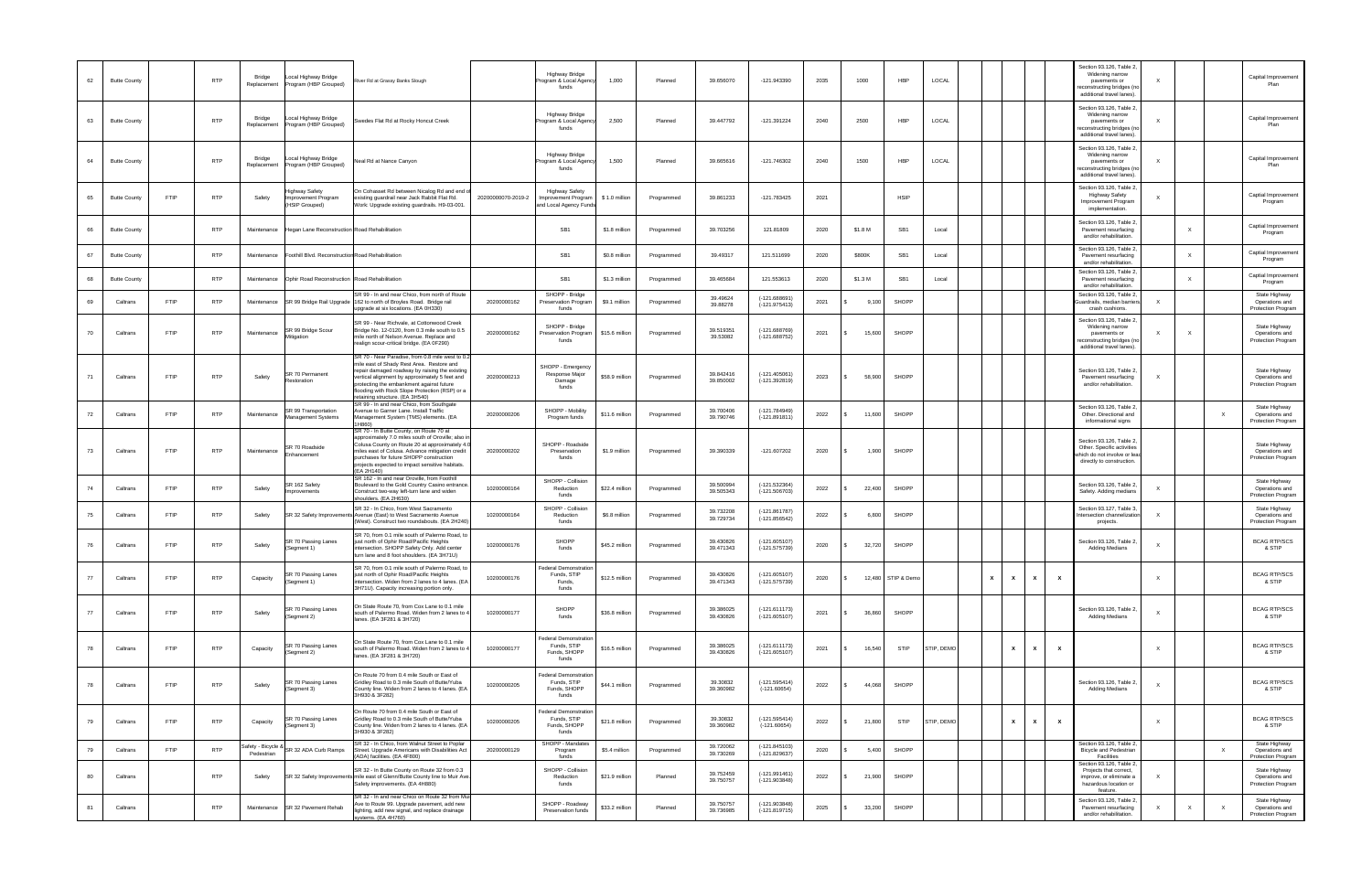| 62 | <b>Butte County</b> |             | <b>RTP</b> | Bridge<br>Replacement          | ocal Highway Bridge.<br>Program (HBP Grouped)           | iver Rd at Grassy Banks Slough                                                                                                                                                                                                                                                                                                 |                    | Highway Bridge<br>rogram & Local Agency<br>funds                       | 1,000          | Planned    | 39.656070              | $-121.943390$                      | 2035 | 1000    | HBP                | LOCAL      |   |                                           |              | Section 93.126, Table 2<br>Widening narrow<br>pavements or<br>econstructing bridges (no<br>additional travel lanes).  |                           |              |              | Capital Improvement<br>Plan                           |
|----|---------------------|-------------|------------|--------------------------------|---------------------------------------------------------|--------------------------------------------------------------------------------------------------------------------------------------------------------------------------------------------------------------------------------------------------------------------------------------------------------------------------------|--------------------|------------------------------------------------------------------------|----------------|------------|------------------------|------------------------------------|------|---------|--------------------|------------|---|-------------------------------------------|--------------|-----------------------------------------------------------------------------------------------------------------------|---------------------------|--------------|--------------|-------------------------------------------------------|
| 63 | <b>Butte County</b> |             | <b>RTP</b> | Bridge<br>Replacement          | ocal Highway Bridge.<br>Program (HBP Grouped)           | Swedes Flat Rd at Rocky Honcut Creek                                                                                                                                                                                                                                                                                           |                    | Highway Bridge<br>rogram & Local Agency<br>funds                       | 2,500          | Planned    | 39.447792              | -121.391224                        | 2040 | 2500    | HBP                | LOCAL      |   |                                           |              | Section 93.126, Table 2,<br>Widening narrow<br>pavements or<br>econstructing bridges (no<br>additional travel lanes). |                           |              |              | Capital Improvement<br>Plan                           |
| 64 | <b>Butte County</b> |             | <b>RTP</b> | Bridge<br>Replacement          | ocal Highway Bridge<br>Program (HBP Grouped)            | Veal Rd at Nance Canyon                                                                                                                                                                                                                                                                                                        |                    | Highway Bridge<br>rogram & Local Agency<br>funds                       | 1,500          | Planned    | 39.665616              | -121.746302                        | 2040 | 1500    | HBP                | LOCAL      |   |                                           |              | Section 93.126, Table 2,<br>Widening narrow<br>pavements or<br>econstructing bridges (no<br>additional travel lanes). |                           |              |              | Capital Improvement<br>Plan                           |
| 65 | <b>Butte County</b> | <b>FTIP</b> | <b>RTP</b> | Safety                         | Highway Safety<br>Improvement Program<br>(HSIP Grouped) | On Cohasset Rd between Nicalog Rd and end<br>existing guardrail near Jack Rabbit Flat Rd.<br>Work: Upgrade existing guardrails. H9-03-001.                                                                                                                                                                                     | 20200000070-2019-2 | <b>Highway Safety</b><br>Improvement Program<br>and Local Agency Funds | \$1.0 million  | Programmed | 39.861233              | -121.783425                        | 2021 |         | <b>HSIP</b>        |            |   |                                           |              | Section 93.126, Table 2,<br><b>Highway Safety</b><br>Improvement Program<br>implementation.                           |                           |              |              | Captial Improvement<br>Program                        |
| 66 | <b>Butte County</b> |             | <b>RTP</b> | Maintenance                    | Hegan Lane Reconstruction Road Rehabilitation           |                                                                                                                                                                                                                                                                                                                                |                    | SB <sub>1</sub>                                                        | \$1.8 million  | Programmed | 39.703256              | 121.81809                          | 2020 | \$1.8 M | SB <sub>1</sub>    | Local      |   |                                           |              | Section 93.126, Table 2<br>Pavement resurfacing<br>and/or rehabilitation.                                             |                           | $\mathsf{X}$ |              | Captial Improvement<br>Program                        |
| 67 | <b>Butte County</b> |             | <b>RTP</b> | Maintenance                    | Foothill Blvd. Reconstruction Road Rehabilitation       |                                                                                                                                                                                                                                                                                                                                |                    | SB <sub>1</sub>                                                        | \$0.8 million  | Programmed | 39.49317               | 121.511699                         | 2020 | \$800K  | SB <sub>1</sub>    | Local      |   |                                           |              | Section 93.126, Table 2<br>Pavement resurfacing<br>and/or rehabilitation.                                             |                           | $\times$     |              | Captial Improvemen<br>Program                         |
| 68 | <b>Butte County</b> |             | <b>RTP</b> | Maintenance                    | Ophir Road Reconstruction Road Rehabilitation           |                                                                                                                                                                                                                                                                                                                                |                    | SB <sub>1</sub>                                                        | \$1.3 million  | Programmed | 39.465684              | 121.553613                         | 2020 | \$1.3 M | SB <sub>1</sub>    | Local      |   |                                           |              | Section 93.126, Table 2,<br>Pavement resurfacing<br>and/or rehabilitation.                                            |                           | $\mathsf{x}$ |              | Captial Improvement<br>Program                        |
| 69 | Caltrans            | <b>FTIP</b> | <b>RTP</b> | Maintenance                    |                                                         | SR 99 - In and near Chico, from north of Route<br>SR 99 Bridge Rail Upgrade 162 to north of Broyles Road. Bridge rail<br>upgrade at six locations. (EA 0H330)                                                                                                                                                                  | 20200000162        | SHOPP - Bridge<br>Preservation Program<br>funds                        | \$9.1 million  | Programmed | 39.49624<br>39.88278   | $(-121.688691)$<br>$(-121.975413)$ | 2021 | 9,100   | SHOPP              |            |   |                                           |              | Section 93.126, Table 2,<br>uardrails, median barriers<br>crash cushions.                                             |                           |              |              | State Highway<br>Operations and<br>Protection Program |
| 70 | Caltrans            | <b>FTIP</b> | <b>RTP</b> | Maintenance                    | SR 99 Bridge Scour<br>Mitigation                        | SR 99 - Near Richvale, at Cottonwood Creek<br>Bridge No. 12-0120, from 0.3 mile south to 0.5<br>mile north of Nelson Avenue. Replace and<br>ealign scour-critical bridge. (EA 0F290)                                                                                                                                           | 20200000162        | SHOPP - Bridge<br>Preservation Program<br>funds                        | \$15.6 million | Programmed | 39.519351<br>39.53082  | $(-121.688769)$<br>(-121.688752)   | 2021 | 15,600  | SHOPP              |            |   |                                           |              | Section 93.126, Table 2<br>Widening narrow<br>pavements or<br>econstructing bridges (no<br>additional travel lanes).  |                           |              |              | State Highway<br>Operations and<br>Protection Program |
| 71 | Caltrans            | <b>FTIP</b> | <b>RTP</b> | Safety                         | <b>SR 70 Permanent</b><br>Restoration                   | SR 70 - Near Paradise, from 0.8 mile west to 0.<br>nile east of Shady Rest Area. Restore and<br>epair damaged roadway by raising the existing<br>vertical alignment by approximately 5 feet and<br>rotecting the embankment against future<br>flooding with Rock Slope Protection (RSP) or a<br>etaining structure. (EA 3H540) | 20200000213        | SHOPP - Emergency<br>Response Major<br>Damage<br>funds                 | \$58.9 million | Programmed | 39.842416<br>39.850002 | $(-121.405061)$<br>$(-121.392819)$ | 2023 | 58,900  | SHOPP              |            |   |                                           |              | Section 93.126, Table 2<br>Pavement resurfacing<br>and/or rehabilitation.                                             | X                         |              |              | State Highway<br>Operations and<br>Protection Program |
| 72 | Caltrans            | FTIP        | <b>RTP</b> | Maintenance                    | R 99 Transportation<br>Management Systems               | SR 99 - In and near Chico, from Southgate<br>Avenue to Garner Lane. Install Traffic<br>Management System (TMS) elements. (EA<br>H860)                                                                                                                                                                                          | 20200000206        | SHOPP - Mobility<br>Program funds                                      | \$11.6 million | Programmed | 39.700406<br>39.790746 | $(-121.784949)$<br>$(-121.891811)$ | 2022 | 11,600  | SHOPP              |            |   |                                           |              | Section 93.126, Table 2<br>Other. Directional and<br>informational signs                                              |                           |              | $\mathsf{X}$ | State Highway<br>Operations and<br>Protection Program |
| 73 | Caltrans            | <b>FTIP</b> | <b>RTP</b> | Maintenance                    | R 70 Roadside<br>Enhancement                            | SR 70 - In Butte County, on Route 70 at<br>approximately 7.0 miles south of Oroville; also i<br>Colusa County on Route 20 at approximately 4.<br>miles east of Colusa. Advance mitigation credit<br>purchases for future SHOPP construction<br>projects expected to impact sensitive habitats.<br>(EA 2H140)                   | 20200000202        | SHOPP - Roadside<br>Preservation<br>funds                              | \$1.9 million  | Programmed | 39.390339              | -121.607202                        | 2020 | 1,900   | SHOPP              |            |   |                                           |              | Section 93.126, Table 2<br>Other. Specific activities<br>which do not involve or lead<br>directly to construction.    |                           |              |              | State Highway<br>Operations and<br>Protection Program |
| 74 | Caltrans            | <b>FTIP</b> | <b>RTP</b> | Safety                         | SR 162 Safety<br>mprovements                            | SR 162 - In and near Oroville, from Foothill<br>Boulevard to the Gold Country Casino entrance<br>Construct two-way left-turn lane and widen<br>shoulders. (EA 2H630)                                                                                                                                                           | 10200000164        | SHOPP - Collision<br>Reduction<br>funds                                | \$22.4 million | Programmed | 39.500994<br>39.505343 | $(-121.532364)$<br>$(-121.506703)$ | 2022 | 22,400  | SHOPP              |            |   |                                           |              | Section 93.126, Table 2<br>Safety. Adding medians                                                                     |                           |              |              | State Highway<br>Operations and<br>Protection Program |
| 75 | Caltrans            | FTIP        | <b>RTP</b> | Safety                         | SR 32 Safety Improveme                                  | SR 32 - In Chico, from West Sacramento<br>Avenue (East) to West Sacramento Avenue<br>Nest). Construct two roundabouts. (EA 2H240)                                                                                                                                                                                              | 10200000164        | SHOPP - Collision<br>Reduction<br>funds                                | \$6.8 million  | Programmed | 39.732208<br>39.729734 | $(-121.861787)$<br>$(-121.856542)$ | 2022 | 6,800   | SHOPP              |            |   |                                           |              | Section 93.127, Table 3<br>ntersection channelization<br>projects.                                                    | $\times$                  |              |              | State Highway<br>Operations and<br>Protection Program |
| 76 | Caltrans            | FTIP        | <b>RTP</b> | Safety                         | SR 70 Passing Lanes<br>(Segment 1)                      | SR 70, from 0.1 mile south of Palermo Road, to<br>ust north of Ophir Road/Pacific Heights<br>ntersection. SHOPP Safety Only. Add center<br>turn lane and 8 foot shoulders. (EA 3H71U)                                                                                                                                          | 10200000176        | <b>SHOPP</b><br>funds                                                  | \$45.2 million | Programmed | 39.430826<br>39.471343 | $(-121.605107)$<br>$(-121.575739)$ | 2020 | 32,720  | SHOPP              |            |   |                                           |              | Section 93.126, Table 2<br>Adding Medians                                                                             | $\times$                  |              |              | <b>BCAG RTP/SCS</b><br>& STIP                         |
| 77 | Caltrans            | <b>FTIP</b> | <b>RTP</b> | Capacity                       | SR 70 Passing Lanes<br>(Segment 1)                      | SR 70, from 0.1 mile south of Palermo Road, to<br>just north of Ophir Road/Pacific Heights<br>ntersection. Widen from 2 lanes to 4 lanes. (EA<br>3H71U). Capacity increasing portion only.                                                                                                                                     | 10200000176        | Federal Demonstration<br>Funds, STIP<br>Funds,<br>funds                | \$12.5 million | Programmed | 39.430826<br>39.471343 | $(-121.605107)$<br>(-121.575739)   | 2020 |         | 12,480 STIP & Demo |            | x | $\boldsymbol{\mathsf{x}}$<br>x            | $\mathbf{x}$ |                                                                                                                       | $\mathsf{X}$              |              |              | <b>BCAG RTP/SCS</b><br>& STIP                         |
| 77 | Caltrans            | <b>FTIP</b> | <b>RTP</b> | Safety                         | SR 70 Passing Lanes<br>(Segment 2)                      | On State Route 70, from Cox Lane to 0.1 mile<br>outh of Palermo Road. Widen from 2 lanes to 4<br>anes. (EA 3F281 & 3H720)                                                                                                                                                                                                      | 10200000177        | SHOPP<br>funds                                                         | \$36.8 million | Programmed | 39.386025<br>39.430826 | $(-121.611173)$<br>$(-121.605107)$ | 2021 | 36,860  | SHOPP              |            |   |                                           |              | Section 93.126, Table 2,<br><b>Adding Medians</b>                                                                     | $\times$                  |              |              | <b>BCAG RTP/SCS</b><br>& STIP                         |
| 78 | Caltrans            | <b>FTIP</b> | <b>RTP</b> | Capacity                       | SR 70 Passing Lanes<br>(Segment 2)                      | On State Route 70, from Cox Lane to 0.1 mile<br>south of Palermo Road. Widen from 2 lanes to 4<br>lanes. (EA 3F281 & 3H720)                                                                                                                                                                                                    | 10200000177        | Federal Demonstration<br>Funds, STIP<br>Funds, SHOPP<br>funds          | \$16.5 million | Programmed | 39.386025<br>39.430826 | $(-121.611173)$<br>$(-121.605107)$ | 2021 | 16,540  | <b>STIP</b>        | STIP, DEMO |   | $\boldsymbol{\mathsf{x}}$<br>$\mathsf{x}$ | $\mathbf{x}$ |                                                                                                                       | $\times$                  |              |              | <b>BCAG RTP/SCS</b><br>& STIP                         |
| 78 | Caltrans            | <b>FTIP</b> | <b>RTP</b> | Safety                         | SR 70 Passing Lanes<br>(Segment 3)                      | On Route 70 from 0.4 mile South or East of<br>Gridley Road to 0.3 mile South of Butte/Yuba<br>County line. Widen from 2 lanes to 4 lanes. (EA<br>3H930 & 3F282)                                                                                                                                                                | 10200000205        | Federal Demonstration<br>Funds, STIP<br>Funds, SHOPP<br>funds          | \$44.1 million | Programmed | 39.30832<br>39.360982  | $(-121.595414)$<br>$(-121.60654)$  | 2022 | 44,068  | SHOPP              |            |   |                                           |              | Section 93.126, Table 2,<br><b>Adding Medians</b>                                                                     | $\times$                  |              |              | <b>BCAG RTP/SCS</b><br>& STIP                         |
| 79 | Caltrans            | <b>FTIP</b> | <b>RTP</b> | Capacity                       | SR 70 Passing Lanes<br>(Segment 3)                      | On Route 70 from 0.4 mile South or East of<br>Gridley Road to 0.3 mile South of Butte/Yuba<br>County line. Widen from 2 lanes to 4 lanes. (EA<br>3H930 & 3F282)                                                                                                                                                                | 10200000205        | Federal Demonstratior<br>Funds, STIP<br>Funds, SHOPP<br>funds          | \$21.8 million | Programmed | 39.30832<br>39.360982  | $(-121.595414)$<br>$(-121.60654)$  | 2022 | 21,800  | <b>STIP</b>        | STIP, DEMO |   | $\mathbf{x}$<br>$\mathbf{x}$              | $\mathbf{x}$ |                                                                                                                       | $\boldsymbol{\mathsf{x}}$ |              |              | <b>BCAG RTP/SCS</b><br>& STIP                         |
| 79 | Caltrans            | <b>FTIP</b> | <b>RTP</b> | Safety - Bicycle<br>Pedestrian | SR 32 ADA Curb Ramps                                    | SR 32 - In Chico, from Walnut Street to Poplar<br>Street. Upgrade Americans with Disabilities Act<br>ADA) facilities, (EA 4F800)                                                                                                                                                                                               | 20200000129        | SHOPP - Mandates<br>Program<br>funds                                   | \$5.4 million  | Programmed | 39.720062<br>39.730269 | $(-121.845103)$<br>$(-121.829637)$ | 2020 | 5,400   | SHOPP              |            |   |                                           |              | Section 93.126, Table 2<br>Bicycle and Pedestrian<br>Facilities                                                       |                           |              | $\mathsf{X}$ | State Highway<br>Operations and<br>Protection Program |
| 80 | Caltrans            |             | <b>RTP</b> | Safety                         | SR 32 Safety Improvemer                                 | SR 32 - In Butte County on Route 32 from 0.3<br>s mile east of Glenn/Butte County line to Muir Ave<br>Safety improvements. (EA 4H880)                                                                                                                                                                                          |                    | SHOPP - Collision<br>Reduction<br>funds                                | \$21.9 million | Planned    | 39.752459<br>39.750757 | $(-121.991461)$<br>$(-121.903848)$ | 2022 | 21,900  | SHOPP              |            |   |                                           |              | Section 93.126, Table 2<br>Projects that correct,<br>improve, or eliminate a<br>hazardous location or<br>feature.     | $\times$                  |              |              | State Highway<br>Operations and<br>Protection Program |
| 81 | Caltrans            |             | <b>RTP</b> | Maintenance                    | SR 32 Pavement Rehab                                    | SR 32 - In and near Chico on Route 32 from Mu<br>ve to Route 99. Upgrade pavement, add new<br>ighting, add new signal, and replace drainage<br>stems. (EA 4H760)                                                                                                                                                               |                    | SHOPP - Roadway<br>Preservation funds                                  | \$33.2 million | Planned    | 39.750757<br>39.736985 | $(-121.903848)$<br>$(-121.819715)$ | 2025 | 33,200  | SHOPP              |            |   |                                           |              | Section 93.126, Table 2,<br>Pavement resurfacing<br>and/or rehabilitation.                                            |                           | $\mathsf{X}$ | X            | State Highway<br>Operations and<br>Protection Program |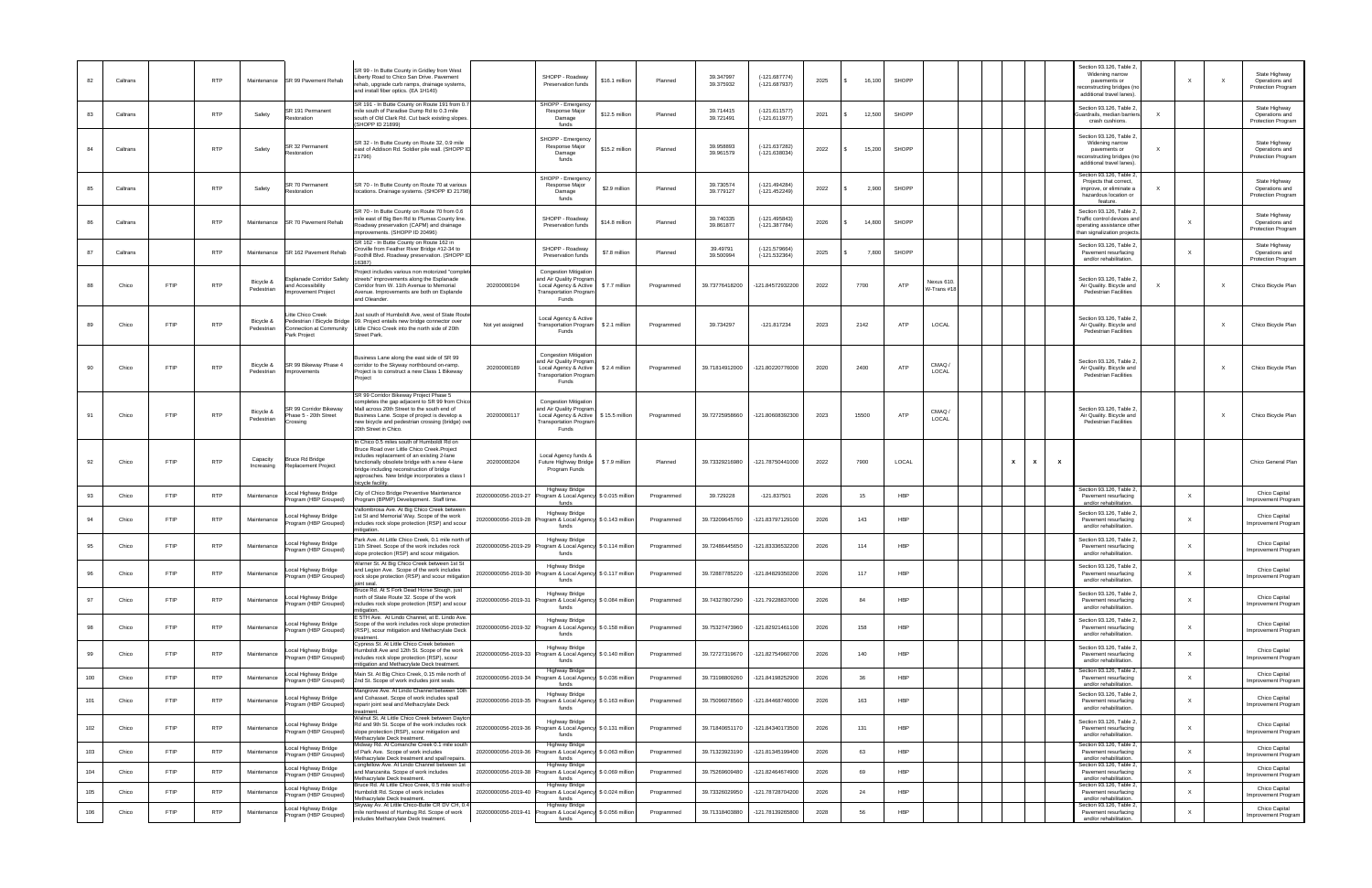| 82  | Caltrans |             | <b>RTP</b> | Maintenance             | SR 99 Pavement Rehab                                                                       | SR 99 - In Butte County in Gridley from West<br>Liberty Road to Chico San Drive, Pavement<br>rehab, upgrade curb ramps, drainage systems,<br>and install fiber optics. (EA 1H140)                                                                                                                           | SHOPP - Roadway<br>Preservation funds                                                                                                     | \$16.1 million                          | Planned    | 39.347997<br>39.375932 | $(-121.687774)$<br>$(-121.687937)$ | 2025 | 16,100 | <b>SHOPP</b> |                          |              |   |              | Section 93.126, Table 2<br>Widening narrow<br>pavements or<br>econstructing bridges (no<br>additional travel lanes). |          |              |              | State Highway<br>Operations and<br>Protection Program |
|-----|----------|-------------|------------|-------------------------|--------------------------------------------------------------------------------------------|-------------------------------------------------------------------------------------------------------------------------------------------------------------------------------------------------------------------------------------------------------------------------------------------------------------|-------------------------------------------------------------------------------------------------------------------------------------------|-----------------------------------------|------------|------------------------|------------------------------------|------|--------|--------------|--------------------------|--------------|---|--------------|----------------------------------------------------------------------------------------------------------------------|----------|--------------|--------------|-------------------------------------------------------|
| 83  | Caltrans |             | <b>RTP</b> | Safety                  | SR 191 Permanent<br>Restoration                                                            | SR 191 - In Butte County on Route 191 from (<br>mile south of Paradise Dump Rd to 0.3 mile<br>south of Old Clark Rd. Cut back existing slopes.<br>(SHOPP ID 21899)                                                                                                                                          | SHOPP - Emergency<br>Response Major<br>Damage<br>funds                                                                                    | \$12.5 million                          | Planned    | 39.714415<br>39.721491 | $(-121.611577)$<br>$(-121.611977)$ | 2021 | 12,500 | SHOPP        |                          |              |   |              | Section 93.126, Table 2,<br>Guardrails, median barriers<br>crash cushions.                                           |          |              |              | State Highway<br>Operations and<br>Protection Program |
| 84  | Caltrans |             | <b>RTP</b> | Safety                  | GR 32 Permanent<br>Restoration                                                             | SR 32 - In Butte County on Route 32, 0.9 mile<br>east of Addison Rd. Soldier pile wall. (SHOPP I<br>21796)                                                                                                                                                                                                  | SHOPP - Emergency<br>Response Major<br>Damage<br>funds                                                                                    | \$15.2 million                          | Planned    | 39.958893<br>39.961579 | $(-121.637282)$<br>$(-121.638034)$ | 2022 | 15,200 | <b>SHOPP</b> |                          |              |   |              | Section 93.126, Table 2<br>Widening narrow<br>pavements or<br>econstructing bridges (no<br>additional travel lanes). |          |              |              | State Highway<br>Operations and<br>Protection Program |
| 85  | Caltrans |             | <b>RTP</b> | Safety                  | SR 70 Permanent<br>Restoration                                                             | SR 70 - In Butte County on Route 70 at various<br>locations. Drainage systems. (SHOPP ID 21798                                                                                                                                                                                                              | SHOPP - Emergency<br>Response Major<br>Damage<br>funds                                                                                    | \$2.9 million                           | Planned    | 39.730574<br>39.779127 | $(-121.494284)$<br>$(-121.452249)$ | 2022 | 2,900  | <b>SHOPP</b> |                          |              |   |              | Section 93.126, Table 2<br>Projects that correct,<br>improve, or eliminate a<br>hazardous location or<br>feature.    |          |              |              | State Highway<br>Operations and<br>Protection Program |
| 86  | Caltrans |             | <b>RTP</b> | Maintenance             | SR 70 Pavement Rehab                                                                       | SR 70 - In Butte County on Route 70 from 0.6<br>mile east of Big Ben Rd to Plumas County line.<br>loadway preservation (CAPM) and drainage<br>improvements. (SHOPP ID 20496)                                                                                                                                | SHOPP - Roadway<br>Preservation funds                                                                                                     | \$14.8 million                          | Planned    | 39.740335<br>39.861877 | $(-121.495843)$<br>$(-121.387784)$ | 2026 | 14,800 | <b>SHOPP</b> |                          |              |   |              | Section 93.126, Table 2,<br>Traffic control devices and<br>operating assistance other<br>han signalization projects. |          |              |              | State Highway<br>Operations and<br>Protection Program |
| 87  | Caltrans |             | <b>RTP</b> | Maintenance             | SR 162 Pavement Rehab                                                                      | SR 162 - In Butte County on Route 162 in<br>Oroville from Feather River Bridge #12-34 to<br>Foothill Blvd. Roadway preservation. (SHOPP II<br>(6387)                                                                                                                                                        | SHOPP - Roadway<br>Preservation funds                                                                                                     | \$7.8 million                           | Planned    | 39.49791<br>39.500994  | $(-121.579664)$<br>$(-121.532364)$ | 2025 | 7,800  | SHOPP        |                          |              |   |              | Section 93.126, Table 2,<br>Pavement resurfacing<br>and/or rehabilitation.                                           |          |              |              | State Highway<br>Operations and<br>Protection Program |
| 88  | Chico    | FTIP        | <b>RTP</b> | Bicycle &<br>Pedestrian | Esplanade Corridor Safety<br>and Accessibility<br>mprovement Project                       | Project includes various non motorized "complet<br>streets" improvements along the Esplanade<br>Corridor from W. 11th Avenue to Memorial<br>Avenue. Improvements are both on Esplande<br>and Oleander.                                                                                                      | <b>Congestion Mitigation</b><br>and Air Quality Program<br>20200000194<br>Local Agency & Active<br><b>Transportation Program</b><br>Funds | \$7.7 million                           | Programmed | 39.73776418200         | -121.84572932200                   | 2022 | 7700   | ATP          | Nexus 610<br>W-Trans #18 |              |   |              | Section 93.126, Table 2<br>Air Quality. Bicycle and<br><b>Pedestrian Facilities</b>                                  | $\times$ |              | $\mathsf{x}$ | Chico Bicycle Plan                                    |
| 89  | Chico    | <b>FTIP</b> | <b>RTP</b> | Bicycle &<br>Pedestrian | itte Chico Creek<br>Pedestrian / Bicycle Bridge<br>Connection at Community<br>Park Project | Just south of Humboldt Ave, west of State Route<br>99. Project entails new bridge connector over<br>Little Chico Creek into the north side of 20th<br>treet Park.                                                                                                                                           | ocal Agency & Active<br>Not yet assigned<br>Funds                                                                                         | ransportation Program \$ 2.1 million    | Programmed | 39.734297              | $-121.817234$                      | 2023 | 2142   | ATP          | LOCAL                    |              |   |              | Section 93.126, Table 2<br>Air Quality. Bicycle and<br><b>Pedestrian Facilities</b>                                  |          |              |              | Chico Bicycle Plan                                    |
| 90  | Chico    | <b>FTIP</b> | <b>RTP</b> | Bicycle &<br>Pedestrian | SR 99 Bikeway Phase 4<br>Improvements                                                      | Business Lane along the east side of SR 99<br>corridor to the Skyway northbound on-ramp.<br>Project is to construct a new Class 1 Bikeway<br>Project                                                                                                                                                        | <b>Congestion Mitigation</b><br>and Air Quality Program<br>20200000189<br>Local Agency & Active<br><b>Fransportation Progran</b><br>Funds | \$2.4 million                           | Programmed | 39.71814912000         | -121.80220776000                   | 2020 | 2400   | ATP          | CMAQ<br>LOCAL            |              |   |              | Section 93.126, Table 2<br>Air Quality. Bicycle and<br><b>Pedestrian Facilities</b>                                  |          |              | $\mathsf{x}$ | Chico Bicycle Plan                                    |
| 91  | Chico    | <b>FTIP</b> | <b>RTP</b> | Bicycle &<br>Pedestrian | SR 99 Corridor Bikeway<br>hase 5 - 20th Street<br>Crossing                                 | SR 99 Corridor Bikeway Project Phase 5<br>ompletes the gap adjacent to SR 99 from Chico<br>Mall across 20th Street to the south end of<br>Business Lane. Scope of project is develop a<br>new bicycle and pedestrian crossing (bridge) ov<br>20th Street in Chico.                                          | <b>Congestion Mitigation</b><br>and Air Quality Program<br>20200000117<br>Local Agency & Active<br><b>Fransportation Program</b><br>Funds | \$15.5 million                          | Programmed | 39.72725958660         | -121.80608392300                   | 2023 | 15500  | ATP          | CMAQ<br>LOCAL            |              |   |              | Section 93.126, Table 2<br>Air Quality. Bicycle and<br><b>Pedestrian Facilities</b>                                  |          |              | $\mathsf{X}$ | Chico Bicycle Plan                                    |
| 92  | Chico    | <b>FTIP</b> | <b>RTP</b> | Capacity<br>Increasing  | Bruce Rd Bridge<br>Replacement Project                                                     | In Chico 0.5 miles south of Humboldt Rd on<br>Bruce Road over Little Chico Creek.Project<br>includes replacement of an existing 2-lane<br>functionally obsolete bridge with a new 4-lane<br>bridge including reconstruction of bridge<br>approaches. New bridge incorporates a class I<br>picycle facility. | Local Agency funds &<br>20200000204<br>uture Highway Bridge<br>Program Funds                                                              | \$7.9 million                           | Planned    | 39.73329216980         | -121.78750441000                   | 2022 | 7900   | LOCAL        |                          | $\mathbf{x}$ | х | $\mathbf{x}$ |                                                                                                                      |          |              |              | Chico General Plan                                    |
| 93  | Chico    | <b>FTIP</b> | <b>RTP</b> | Maintenance             | ocal Highway Bridge<br>Program (HBP Grouped)                                               | City of Chico Bridge Preventive Maintenance<br>Program (BPMP) Development. Staff time.                                                                                                                                                                                                                      | Highway Bridge<br>20200000056-2019-27<br>funds                                                                                            | rogram & Local Agency \$ 0.015 million  | Programmed | 39.729228              | $-121.837501$                      | 2026 | 15     | <b>HBP</b>   |                          |              |   |              | Section 93.126, Table 2,<br>Pavement resurfacing<br>and/or rehabilitation.                                           |          | $\times$     |              | Chico Capital<br><b>Improvement Program</b>           |
| 94  | Chico    | <b>FTIP</b> | <b>RTP</b> | Maintenance             | ocal Highway Bridge<br>Program (HBP Grouped)                                               | /allombrosa Ave. At Big Chico Creek between<br>st St and Memorial Way. Scope of the work<br>includes rock slope protection (RSP) and scoul<br>itigation.                                                                                                                                                    | <b>Highway Bridge</b><br>20200000056-2019-28<br>funds                                                                                     | rogram & Local Agency \$ 0.143 million  | Programmed | 39.73209645760         | -121.83797129100                   | 2026 | 143    | HBP          |                          |              |   |              | Section 93.126, Table 2,<br>Pavement resurfacing<br>and/or rehabilitation.                                           |          | $\times$     |              | Chico Capital<br><b>Improvement Program</b>           |
| 95  | Chico    | FTIP        | <b>RTP</b> | Maintenance             | ocal Highway Bridge.<br>Program (HBP Grouped)                                              | Park Ave. At Little Chico Creek, 0.1 mile north o<br>11th Street. Scope of the work includes rock<br>slope protection (RSP) and scour mitigation.                                                                                                                                                           | <b>Highway Bridge</b><br>20200000056-2019-29<br>funds                                                                                     | rogram & Local Agency \$ 0.114 million  | Programmed | 39.72486445650         | -121.83336532200                   | 2026 | 114    | <b>HBP</b>   |                          |              |   |              | Section 93.126. Table 2.<br>Pavement resurfacing<br>and/or rehabilitation.                                           |          |              |              | Chico Capital<br>Improvement Program                  |
| 96  | Chico    | <b>FTIP</b> | <b>RTP</b> | Maintenance             | Local Highway Bridge<br>Program (HBP Grouped)                                              | varner St. At Big Chico Creek between 1st Si<br>and Legion Ave. Scope of the work includes<br>rock slope protection (RSP) and scour mitigation<br>oint seal.                                                                                                                                                | <b>Highway Bridge</b><br>20200000056-2019-30 Program & Local Agency \$ 0.117 million<br>funds                                             |                                         | Programmed | 39.72887785220         | -121.84829350200                   | 2026 | 117    | HBP          |                          |              |   |              | Section 93.126, Table 2,<br>Pavement resurfacing<br>and/or rehabilitation.                                           |          | $\times$     |              | Chico Capital<br>Improvement Program                  |
| 97  | Chico    | <b>FTIP</b> | <b>RTP</b> | Maintenance             | Local Highway Bridge<br>Program (HBP Grouped)                                              | Bruce Rd. At S Fork Dead Horse Slough, just<br>north of State Route 32. Scope of the work<br>includes rock slope protection (RSP) and scour<br>itigation                                                                                                                                                    | <b>Highway Bridge</b><br>20200000056-2019-31 Program & Local Agency \$ 0.084 million<br>funds                                             |                                         | Programmed | 39.74327807290         | -121.79228837000                   | 2026 | 84     | HBP          |                          |              |   |              | Section 93.126, Table 2,<br>Pavement resurfacing<br>and/or rehabilitation.                                           |          | $\times$     |              | Chico Capital<br>Improvement Program                  |
| 98  | Chico    | FTIP        | <b>RTP</b> | Maintenance             | Local Highway Bridge<br>Program (HBP Grouped)                                              | 5TH Ave. At Lindo Channel, at E. Lindo Ave.<br>cope of the work includes rock slope protectior<br>(RSP), scour mitigation and Methacrylate Deck<br>atment.                                                                                                                                                  | <b>Highway Bridge</b><br>20200000056-2019-32 Program & Local Agency \$ 0.158 million<br>funds                                             |                                         | Programmed | 39.75327473960         | -121.82921461100                   | 2026 | 158    | HBP          |                          |              |   |              | Section 93.126, Table 2,<br>Pavement resurfacing<br>and/or rehabilitation.                                           |          | $\times$     |              | Chico Capital<br>Improvement Program                  |
| 99  | Chico    | <b>FTIP</b> | <b>RTP</b> | Maintenance             | Local Highway Bridge<br>Program (HBP Grouped)                                              | voress St. At Little Chico Creek between<br>lumboldt Ave and 12th St. Scope of the work<br>includes rock slope protection (RSP), scour<br>itigation and Methacrylate Deck treatment.                                                                                                                        | <b>Highway Bridge</b><br>20200000056-2019-33 Program & Local Agency \$ 0.140 million<br>funds                                             |                                         | Programmed | 39.72727319670         | -121.82754960700                   | 2026 | 140    | HBP          |                          |              |   |              | Section 93.126, Table 2,<br>Pavement resurfacing<br>and/or rehabilitation.                                           |          | $\times$     |              | Chico Capital<br>Improvement Program                  |
| 100 | Chico    | <b>FTIP</b> | <b>RTP</b> | Maintenance             | Local Highway Bridge<br>Program (HBP Grouped)                                              | Main St. At Big Chico Creek, 0.15 mile north of<br>2nd St. Scope of work includes joint seals.                                                                                                                                                                                                              | Highway Bridge<br>20200000056-2019-34<br>funds                                                                                            | rogram & Local Agency \$ 0.036 million  | Programmed | 39.73198809260         | -121.84198252900                   | 2026 | 36     | <b>HBP</b>   |                          |              |   |              | Section 93.126, Table 2,<br>Pavement resurfacing<br>and/or rehabilitation.                                           |          | $\times$     |              | Chico Capital<br>Improvement Program                  |
| 101 | Chico    | <b>FTIP</b> | <b>RTP</b> | Maintenance             | Local Highway Bridge<br>Program (HBP Grouped)                                              | Aangrove Ave. At Lindo Channel between 10th<br>and Cohasset. Scope of work includes spall<br>reparir joint seal and Methacrylate Deck<br>eatment                                                                                                                                                            | <b>Highway Bridge</b><br>20200000056-2019-35 F<br>funds                                                                                   | Program & Local Agency \$ 0.163 million | Programmed | 39.75096078560         | -121.84468746000                   | 2026 | 163    | HBP          |                          |              |   |              | Section 93.126, Table 2,<br>Pavement resurfacing<br>and/or rehabilitation.                                           |          | $\times$     |              | Chico Capital<br>Improvement Program                  |
| 102 | Chico    | <b>FTIP</b> | <b>RTP</b> | Maintenance             | Local Highway Bridge<br>Program (HBP Grouped)                                              | Valnut St. At Little Chico Creek between Dayto<br>d and 9th St. Scope of the work includes rock<br>slope protection (RSP), scour mitigation and<br>Aethacrylate Deck treatment.                                                                                                                             | <b>Highway Bridge</b><br>20200000056-2019-36<br>funds                                                                                     | rogram & Local Agency \$ 0.131 million  | Programmed | 39.71840651170         | -121.84340173500                   | 2026 | 131    | HBP          |                          |              |   |              | Section 93.126, Table 2,<br>Pavement resurfacing<br>and/or rehabilitation.                                           |          | $\times$     |              | Chico Capital<br>Improvement Program                  |
| 103 | Chico    | <b>FTIP</b> | <b>RTP</b> | Maintenance             | Local Highway Bridge<br>Program (HBP Grouped)                                              | Aidway Rd. At Comanche Creek 0.1 mile south<br>of Park Ave. Scope of work includes                                                                                                                                                                                                                          | <b>Highway Bridge</b><br>20200000056-2019-36<br>funds                                                                                     | rogram & Local Agency \$ 0.063 million  | Programmed | 39.71323923190         | -121.81345199400                   | 2026 | 63     | <b>HBP</b>   |                          |              |   |              | Section 93.126, Table 2,<br>Pavement resurfacing<br>and/or rehabilitation.                                           |          | $\times$     |              | Chico Capital<br><b>Improvement Program</b>           |
| 104 | Chico    | <b>FTIP</b> | <b>RTP</b> | Maintenance             | Local Highway Bridge<br>Program (HBP Grouped)                                              | Methacrylate Deck treatment and spall repairs.<br>ongfellow Ave. At Lindo Channel between 1st<br>nd Manzanita. Scope of work includes<br>ethacrylate Deck treatment.                                                                                                                                        | <b>Highway Bridge</b><br>20200000056-2019-38<br>funds                                                                                     | rogram & Local Agency \$ 0.069 million  | Programmed | 39.75269609480         | -121.82464674900                   | 2026 | 69     | <b>HBP</b>   |                          |              |   |              | Section 93.126, Table 2,<br>Pavement resurfacing<br>and/or rehabilitation.                                           |          | $\times$     |              | Chico Capital<br><b>Improvement Program</b>           |
| 105 | Chico    | <b>FTIP</b> | <b>RTP</b> | Maintenance             | Local Highway Bridge<br>Program (HBP Grouped)                                              | Bruce Rd. At Little Chico Creek, 0.5 mile south<br>lumboldt Rd. Scope of work includes<br>lethacrylate Deck treatment.                                                                                                                                                                                      | <b>Highway Bridge</b><br>20200000056-2019-40<br>funds                                                                                     | rogram & Local Agency \$ 0.024 million  | Programmed | 39.73326029950         | -121.78728704200                   | 2026 |        | <b>HBP</b>   |                          |              |   |              | Section 93.126, Table 2,<br>Pavement resurfacing<br>and/or rehabilitation.                                           |          | $\times$     |              | Chico Capital<br>mprovement Program                   |
| 106 | Chico    | <b>FTIP</b> | <b>RTP</b> | Maintenance             | Local Highway Bridge<br>Program (HBP Grouped)                                              | Skyway Av. At Little Chico-Butte CR DV CH, 0.4<br>nile northwest of Humbug Rd. Scope of work<br>includes Methacrylate Deck treatment.                                                                                                                                                                       | <b>Highway Bridge</b><br>20200000056-2019-41<br>funds                                                                                     | rogram & Local Agency \$ 0.056 million  | Programmed | 39.71318403880         | -121.78139265800                   | 2028 | 56     | <b>HBP</b>   |                          |              |   |              | Section 93.126, Table 2,<br>Pavement resurfacing<br>and/or rehabilitation.                                           |          | $\mathsf{X}$ |              | Chico Capital<br>Improvement Program                  |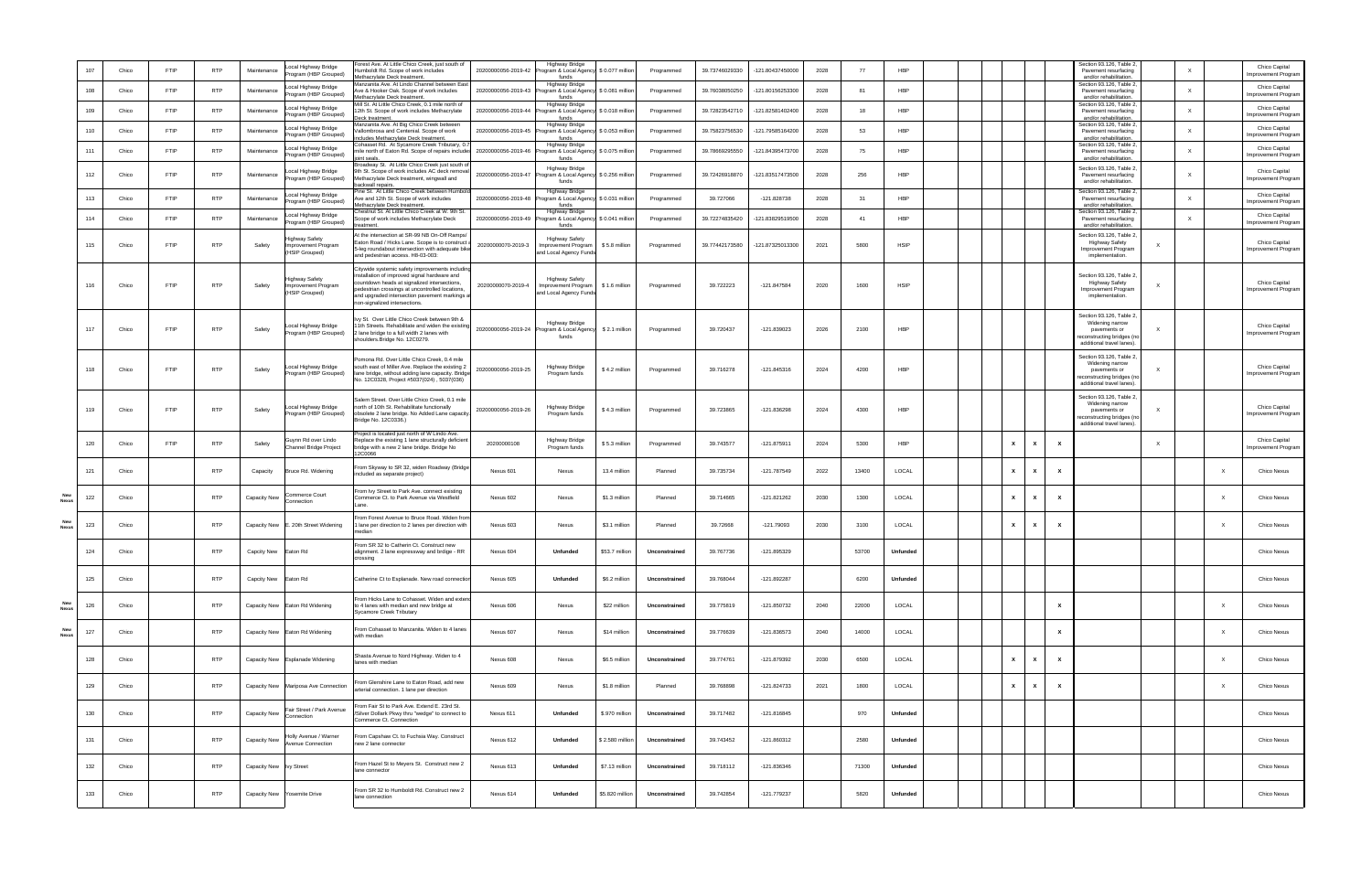|            | 107 | Chico | FTIP        | <b>RTP</b> | Maintenance          | ocal Highway Bridge<br>rogram (HBP Grouped)                         | orest Ave. At Little Chico Creek, just south of<br>umboldt Rd. Scope of work includes<br>thacrylate Deck treatment.                                                                                                                                                                | 20200000056-2019-42 | <b>Highway Bridge</b><br>rogram & Local Agency<br>funds                      | \$0.077 million  | Programmed    | 39.73746029330 | -121.80437450000 | 2028 | 77    | <b>HBP</b>      |  |              |   |                           | Section 93.126, Table 2,<br>Pavement resurfacing<br>and/or rehabilitation.                                           | $\times$                  | Chico Capital<br>mprovement Program         |
|------------|-----|-------|-------------|------------|----------------------|---------------------------------------------------------------------|------------------------------------------------------------------------------------------------------------------------------------------------------------------------------------------------------------------------------------------------------------------------------------|---------------------|------------------------------------------------------------------------------|------------------|---------------|----------------|------------------|------|-------|-----------------|--|--------------|---|---------------------------|----------------------------------------------------------------------------------------------------------------------|---------------------------|---------------------------------------------|
|            | 108 | Chico | <b>FTIP</b> | <b>RTP</b> | Maintenance          | ocal Highway Bridge<br>rogram (HBP Grouped)                         | lanzanita Ave. At Lindo Channel between East<br>ve & Hooker Oak. Scope of work includes<br>thacrylate Deck treatment.                                                                                                                                                              |                     | <b>Highway Bridge</b><br>20200000056-2019-43 Program & Local Agency<br>funds | \$0.081 million  | Programmed    | 39.76038050250 | -121.80156253300 | 2028 | 81    | HBP             |  |              |   |                           | Section 93.126, Table 2,<br>Pavement resurfacing<br>and/or rehabilitation.                                           | $\times$                  | Chico Capital<br>mprovement Program         |
|            | 109 | Chico | <b>FTIP</b> | <b>RTP</b> | Maintenance          | ocal Highway Bridge<br>rogram (HBP Grouped)                         | fill St. At Little Chico Creek, 0.1 mile north of<br>2th St. Scope of work includes Methacrylate<br>eck treatmen                                                                                                                                                                   | 20200000056-2019-44 | <b>Highway Bridge</b><br>rogram & Local Agency<br>funds                      | \$0.018 million  | Programmed    | 39.72823542710 | -121.82581402400 | 2028 | 18    | <b>HBP</b>      |  |              |   |                           | Section 93.126, Table 2,<br>Pavement resurfacing<br>and/or rehabilitation.                                           | $\times$                  | Chico Capital<br>mprovement Program         |
|            | 110 | Chico | FTIP        | <b>RTP</b> | Maintenance          | ocal Highway Bridge<br>rogram (HBP Grouped)                         | lanzanita Ave. At Big Chico Creek between<br>allombrosa and Centenial. Scope of work<br>cludes Methacrylate Deck treatment.                                                                                                                                                        |                     | <b>Highway Bridge</b><br>20200000056-2019-45 Program & Local Agency<br>funds | \$0.053 million  | Programmed    | 39.75823756530 | -121.79585164200 | 2028 | 53    | HBP             |  |              |   |                           | Section 93.126, Table 2,<br>Pavement resurfacing<br>and/or rehabilitation.                                           | $\times$                  | Chico Capital<br>mprovement Program         |
|            | 111 | Chico | <b>FTIP</b> | <b>RTP</b> | Maintenance          | ocal Highway Bridge<br>rogram (HBP Grouped)                         | Ohasset Rd. At Sycamore Creek Tributary, 0.<br>nile north of Eaton Rd. Scope of repairs include:<br>nt seals                                                                                                                                                                       | 20200000056-2019-46 | <b>Highway Bridge</b><br>rogram & Local Agency \$ 0.075 million<br>funds     |                  | Programmed    | 39.78669295550 | -121.84395473700 | 2028 | 75    | <b>HBP</b>      |  |              |   |                           | Section 93.126, Table 2,<br>Pavement resurfacing<br>and/or rehabilitation.                                           | $\times$                  | Chico Capital<br>Improvement Program        |
|            | 112 | Chico | <b>FTIP</b> | <b>RTP</b> | Maintenance          | ocal Highway Bridge<br>rogram (HBP Grouped)                         | roadway St. At Little Chico Creek just south of<br>9th St. Scope of work includes AC deck remova<br>lethacrylate Deck treatment, wingwall and<br>ackwall repairs                                                                                                                   | 20200000056-2019-47 | <b>Highway Bridge</b><br>rogram & Local Agency \$ 0.256 million<br>funds     |                  | Programmed    | 39.72426918870 | -121.83517473500 | 2028 | 256   | HBP             |  |              |   |                           | Section 93.126, Table 2,<br>Pavement resurfacing<br>and/or rehabilitation.                                           | $\times$                  | Chico Capital<br><b>Improvement Program</b> |
|            | 113 | Chico | <b>FTIP</b> | <b>RTP</b> | Maintenance          | ocal Highway Bridge<br>rogram (HBP Grouped)                         | ine St. At Little Chico Creek between Humbol<br>ve and 12th St. Scope of work includes<br>ethacrylate Deck treatment.                                                                                                                                                              |                     | Highway Bridge<br>20200000056-2019-48 Program & Local Agency<br>funds        | \$ 0.031 million | Programmed    | 39.727066      | $-121.828738$    | 2028 | 31    | <b>HBP</b>      |  |              |   |                           | Section 93.126, Table 2,<br>Pavement resurfacing<br>and/or rehabilitation.                                           | $\times$                  | Chico Capital<br>mprovement Program         |
|            | 114 | Chico | <b>FTIP</b> | <b>RTP</b> | Maintenance          | ocal Highway Bridge<br>rogram (HBP Grouped)                         | hestnut St. At Little Chico Creek at W. 9th St<br>cope of work includes Methacrylate Deck                                                                                                                                                                                          | 20200000056-2019-49 | <b>Highway Bridge</b><br>Program & Local Agency<br>funds                     | \$0.041 million  | Programmed    | 39.72274835420 | -121.83829519500 | 2028 | 41    | <b>HBP</b>      |  |              |   |                           | Section 93.126, Table 2,<br>Pavement resurfacing<br>and/or rehabilitation.                                           | $\times$                  | Chico Capital<br><b>Improvement Program</b> |
|            | 115 | Chico | <b>FTIP</b> | <b>RTP</b> | Safety               | <b>Highway Safety</b><br>mprovement Program<br><b>HSIP Grouped)</b> | t the intersection at SR-99 NB On-Off Ramps/<br>aton Road / Hicks Lane. Scope is to construct<br>-leg roundabout intersection with adequate bik<br>and pedestrian access. H8-03-003:                                                                                               | 20200000070-2019-3  | <b>Highway Safety</b><br>mprovement Program<br>and Local Agency Fund:        | \$5.8 million    | Programmed    | 39.77442173580 | -121.87325013300 | 2021 | 5800  | <b>HSIP</b>     |  |              |   |                           | Section 93.126, Table 2,<br><b>Highway Safety</b><br>Improvement Program<br>implementation.                          |                           | Chico Capital<br>Improvement Program        |
|            | 116 | Chico | FTIP        | <b>RTP</b> | Safety               | <b>Highway Safety</b><br>Improvement Program<br>(HSIP Grouped)      | Citywide systemic safety improvements includin<br>nstallation of improved signal hardware and<br>countdown heads at signalized intersections,<br>pedestrian crossings at uncontrolled locations,<br>and upgraded intersection pavement markings a<br>non-signalized intersections. | 20200000070-2019-4  | <b>Highway Safety</b><br>Improvement Program<br>and Local Agency Fund:       | \$1.6 million    | Programmed    | 39.722223      | $-121.847584$    | 2020 | 1600  | <b>HSIP</b>     |  |              |   |                           | Section 93.126, Table 2<br><b>Highway Safety</b><br>Improvement Program<br>implementation.                           |                           | Chico Capital<br>Improvement Program        |
|            | 117 | Chico | FTIP        | <b>RTP</b> | Safety               | Local Highway Bridge<br>Program (HBP Grouped)                       | vy St. Over Little Chico Creek between 9th &<br>1th Streets. Rehabilitate and widen the existing<br>lane bridge to a full width 2 lanes with<br>shoulders.Bridge No. 12C0279.                                                                                                      |                     | <b>Highway Bridge</b><br>20200000056-2019-24 Program & Local Agency<br>funds | \$2.1 million    | Programmed    | 39.720437      | $-121.839023$    | 2026 | 2100  | <b>HBP</b>      |  |              |   |                           | Section 93.126, Table 2<br>Widening narrow<br>pavements or<br>econstructing bridges (no<br>additional travel lanes). |                           | Chico Capital<br>Improvement Program        |
|            | 118 | Chico | FTIP        | <b>RTP</b> | Safety               | Local Highway Bridge<br>Program (HBP Grouped)                       | omona Rd. Over Little Chico Creek, 0.4 mile<br>south east of Miller Ave. Replace the existing 2<br>lane bridge, without adding lane capacity. Bridge<br>No. 12C0328, Project #5037(024), 5037(036)                                                                                 | 20200000056-2019-25 | <b>Highway Bridge</b><br>Program funds                                       | \$4.2 million    | Programmed    | 39.716278      | $-121.845316$    | 2024 | 4200  | <b>HBP</b>      |  |              |   |                           | Section 93.126, Table 2<br>Widening narrow<br>pavements or<br>econstructing bridges (no<br>additional travel lanes). |                           | Chico Capital<br>Improvement Program        |
|            | 119 | Chico | FTIP        | <b>RTP</b> | Safety               | Local Highway Bridge<br>Program (HBP Grouped)                       | alem Street. Over Little Chico Creek, 0.1 mile<br>orth of 10th St. Rehabilitate functionally<br>bbsolete 2 lane bridge. No Added Lane capacity<br>ridge No. 12C0336.)                                                                                                              | 20200000056-2019-26 | Highway Bridge<br>Program funds                                              | \$4.3 million    | Programmed    | 39.723865      | $-121.836298$    | 2024 | 4300  | HBP             |  |              |   |                           | Section 93.126, Table 2<br>Widening narrow<br>pavements or<br>econstructing bridges (no<br>additional travel lanes). |                           | Chico Capital<br>Improvement Program        |
|            | 120 | Chico | <b>FTIP</b> | <b>RTP</b> | Safety               | Guynn Rd over Lindo<br>Channel Bridge Project                       | oject is located just north of W Lindo Ave.<br>eplace the existing 1 lane structurally deficient<br>oridge with a new 2 lane bridge. Bridge No<br>2C0066                                                                                                                           | 20200000108         | Highway Bridge<br>Program funds                                              | \$5.3 million    | Programmed    | 39.743577      | $-121.875911$    | 2024 | 5300  | HBP             |  | x            |   | x                         |                                                                                                                      |                           | Chico Capital<br><b>Improvement Program</b> |
|            | 121 | Chico |             | <b>RTP</b> | Capacity             | Bruce Rd. Widening                                                  | From Skyway to SR 32, widen Roadway (Bridge<br>ncluded as separate project)                                                                                                                                                                                                        | Nexus 601           | Nexus                                                                        | 13.4 million     | Planned       | 39.735734      | -121.787549      | 2022 | 13400 | LOCAL           |  | x            |   | $\boldsymbol{\mathsf{x}}$ |                                                                                                                      |                           | Chico Nexus                                 |
| Nex        | 122 | Chico |             | <b>RTP</b> | Capacity New         | Commerce Court<br>Connection                                        | From Ivy Street to Park Ave. connect existing<br>Commerce Ct. to Park Avenue via Westfield                                                                                                                                                                                         | Nexus 602           | Nexus                                                                        | \$1.3 million    | Planned       | 39.714665      | $-121.821262$    | 2030 | 1300  | LOCAL           |  | $\mathbf{x}$ |   | $\boldsymbol{\mathsf{x}}$ |                                                                                                                      |                           | Chico Nexus                                 |
| New<br>Nex | 123 | Chico |             | <b>RTP</b> | Capacity New         | E. 20th Street Widening                                             | rom Forest Avenue to Bruce Road. Widen fror<br>lane per direction to 2 lanes per direction with                                                                                                                                                                                    | Nexus 603           | Nexus                                                                        | \$3.1 million    | Planned       | 39.72668       | -121.79093       | 2030 | 3100  | LOCAL           |  | $\mathbf{x}$ |   | $\boldsymbol{\mathsf{x}}$ |                                                                                                                      |                           | Chico Nexus                                 |
|            | 124 | Chico |             | <b>RTP</b> | Capcity New Eaton Rd |                                                                     | From SR 32 to Catherin Ct. Construct new<br>alignment. 2 lane expressway and brdige - RR                                                                                                                                                                                           | Nexus 604           | Unfunded                                                                     | \$53.7 million   | Unconstrained | 39.767736      | $-121.895329$    |      | 53700 | <b>Unfunded</b> |  |              |   |                           |                                                                                                                      |                           | Chico Nexus                                 |
|            | 125 | Chico |             | <b>RTP</b> | Capcity New          | Eaton Rd                                                            | Catherine Ct to Esplanade. New road connectio                                                                                                                                                                                                                                      | Nexus 605           | <b>Unfunded</b>                                                              | \$6.2 million    | Unconstrained | 39.768044      | $-121.892287$    |      | 6200  | Unfunded        |  |              |   |                           |                                                                                                                      |                           | Chico Nexus                                 |
| New<br>Nex | 126 | Chico |             | <b>RTP</b> | Capacity New         | Eaton Rd Widening                                                   | From Hicks Lane to Cohasset. Widen and exten<br>to 4 lanes with median and new bridge at<br>Sycamore Creek Tributary                                                                                                                                                               | Nexus 606           | Nexus                                                                        | \$22 million     | Unconstrained | 39.775819      | $-121.850732$    | 2040 | 22000 | LOCAL           |  |              |   | $\mathbf{x}$              |                                                                                                                      | $\boldsymbol{\mathsf{x}}$ | Chico Nexus                                 |
| New<br>Nex | 127 | Chico |             | <b>RTP</b> | Capacity New         | Eaton Rd Widening                                                   | From Cohasset to Manzanita. Widen to 4 lanes<br>with median                                                                                                                                                                                                                        | Nexus 607           | Nexus                                                                        | \$14 million     | Unconstrained | 39.776639      | $-121.836573$    | 2040 | 14000 | LOCAL           |  |              |   | $\mathbf{x}$              |                                                                                                                      | $\times$                  | Chico Nexus                                 |
|            | 128 | Chico |             | <b>RTP</b> | Capacity New         | Esplanade Widening                                                  | Shasta Avenue to Nord Highway. Widen to 4<br>anes with median                                                                                                                                                                                                                      | Nexus 608           | Nexus                                                                        | \$6.5 million    | Unconstrained | 39.774761      | $-121.879392$    | 2030 | 6500  | LOCAL           |  | $\mathbf{x}$ | x | $\mathbf{x}$              |                                                                                                                      | $\times$                  | Chico Nexus                                 |
|            | 129 | Chico |             | <b>RTP</b> | Capacity New         | Mariposa Ave Connection                                             | From Glenshire Lane to Eaton Road, add new<br>rterial connection. 1 lane per direction                                                                                                                                                                                             | Nexus 609           | Nexus                                                                        | \$1.8 million    | Planned       | 39.768898      | $-121.824733$    | 2021 | 1800  | LOCAL           |  | $\mathbf{x}$ | x | $\mathbf{x}$              |                                                                                                                      | $\times$                  | Chico Nexus                                 |
|            | 130 | Chico |             | <b>RTP</b> | Capacity New         | Fair Street / Park Avenue<br>Connection                             | rom Fair St to Park Ave. Extend E. 23rd St.<br>Silver Dollark Pkwy thru "wedge" to connect to<br>Commerce Ct. Connection                                                                                                                                                           | Nexus 611           | Unfunded                                                                     | \$.970 million   | Unconstrained | 39.717482      | $-121.816845$    |      | 970   | Unfunded        |  |              |   |                           |                                                                                                                      |                           | Chico Nexus                                 |
|            | 131 | Chico |             | <b>RTP</b> | Capacity New         | Holly Avenue / Warner<br>Avenue Connection                          | From Capshaw Ct. to Fuchsia Way. Construct<br>new 2 lane connector                                                                                                                                                                                                                 | Nexus 612           | Unfunded                                                                     | \$2.580 million  | Unconstrained | 39.743452      | -121.860312      |      | 2580  | Unfunded        |  |              |   |                           |                                                                                                                      |                           | Chico Nexus                                 |
|            | 132 | Chico |             | <b>RTP</b> | Capacity New         | <b>Ivy Street</b>                                                   | From Hazel St to Meyers St. Construct new 2<br>ane connector                                                                                                                                                                                                                       | Nexus 613           | Unfunded                                                                     | \$7.13 million   | Unconstrained | 39.718112      | -121.836346      |      | 71300 | <b>Unfunded</b> |  |              |   |                           |                                                                                                                      |                           | Chico Nexus                                 |
|            | 133 | Chico |             | <b>RTP</b> | Capacity New         | Yosemite Drive                                                      | From SR 32 to Humboldt Rd. Construct new 2<br>ane connection                                                                                                                                                                                                                       | Nexus 614           | Unfunded                                                                     | \$5.820 million  | Unconstrained | 39.742854      | $-121.779237$    |      | 5820  | Unfunded        |  |              |   |                           |                                                                                                                      |                           | Chico Nexus                                 |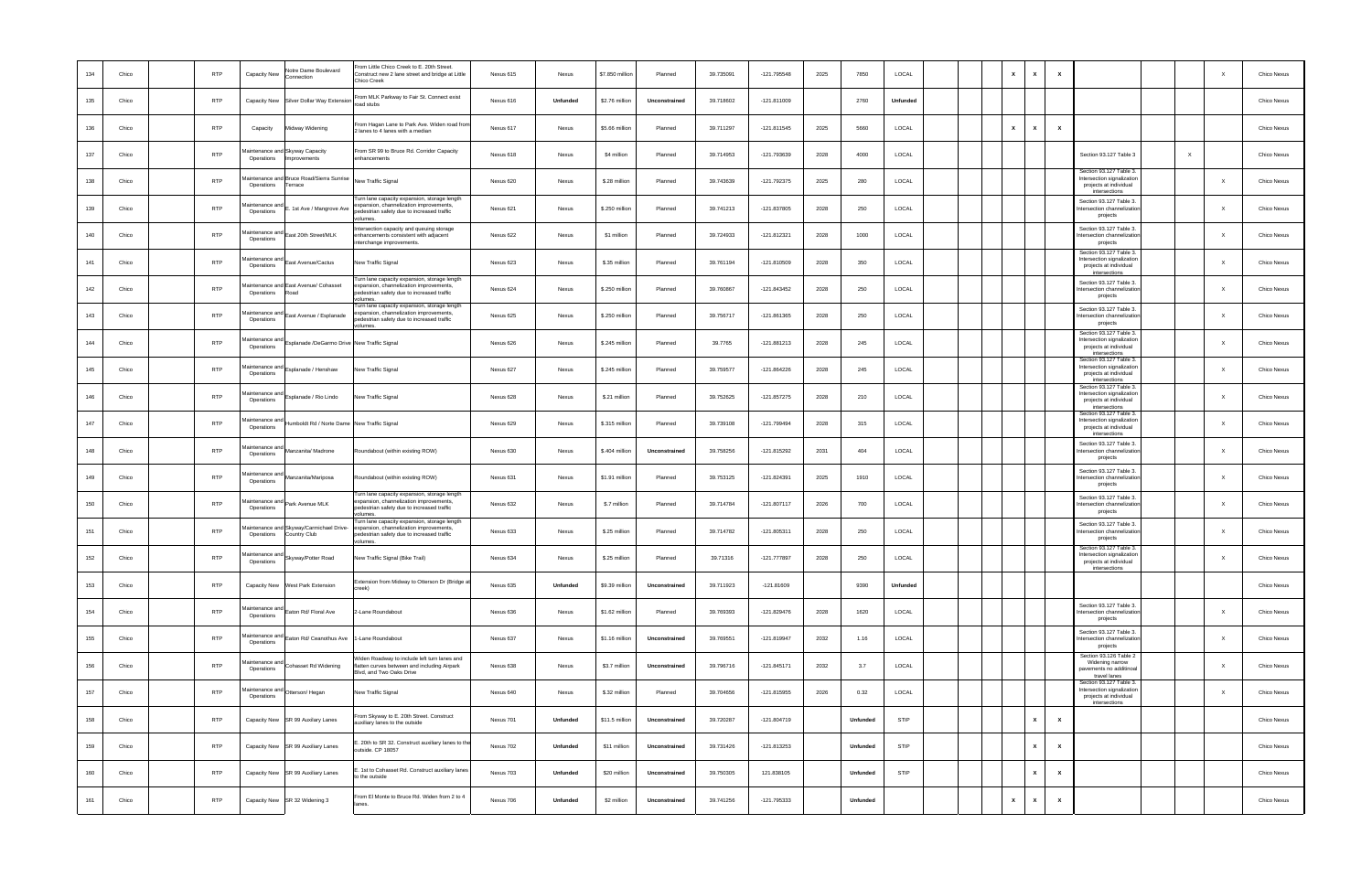| 134 | Chico | <b>RTP</b> | Capacity New                  | Votre Dame Boulevard<br>Connection                      | From Little Chico Creek to E. 20th Street.<br>Construct new 2 lane street and bridge at Little<br>Chico Creek                                    | Nexus 615 | Nexus    | \$7.850 million | Planned       | 39.735091 | -121.795548   | 2025 | 7850     | LOCAL           |  | $\mathsf{x}$<br>$\mathbf{x}$ | $\mathbf{x}$ |                                                                                                  | X            | Chico Nexus |
|-----|-------|------------|-------------------------------|---------------------------------------------------------|--------------------------------------------------------------------------------------------------------------------------------------------------|-----------|----------|-----------------|---------------|-----------|---------------|------|----------|-----------------|--|------------------------------|--------------|--------------------------------------------------------------------------------------------------|--------------|-------------|
| 135 | Chico | <b>RTP</b> | Capacity New                  | Silver Dollar Way Extension                             | From MLK Parkway to Fair St. Connect exist<br>oad stubs                                                                                          | Nexus 616 | Unfunded | \$2.76 million  | Unconstrained | 39.718602 | $-121.811009$ |      | 2760     | Unfunded        |  |                              |              |                                                                                                  |              | Chico Nexus |
| 136 | Chico | <b>RTP</b> | Capacity                      | Midway Widening                                         | From Hagan Lane to Park Ave. Widen road fron<br>2 lanes to 4 lanes with a median                                                                 | Nexus 617 | Nexus    | \$5.66 million  | Planned       | 39.711297 | $-121.811545$ | 2025 | 5660     | LOCAL           |  | $\mathbf{x}$<br>$\mathbf{x}$ | $\mathbf{x}$ |                                                                                                  |              | Chico Nexus |
| 137 | Chico | <b>RTP</b> | Operations                    | laintenance and Skyway Capacity<br>Improvements         | From SR 99 to Bruce Rd. Corridor Capacity<br>enhancements                                                                                        | Nexus 618 | Nexus    | \$4 million     | Planned       | 39.714953 | -121.793639   | 2028 | 4000     | LOCAL           |  |                              |              | Section 93.127 Table 3                                                                           | $\times$     | Chico Nexus |
| 138 | Chico | <b>RTP</b> | Operations                    | laintenance and Bruce Road/Sierra Sunrise<br>Terrace    | New Traffic Signal                                                                                                                               | Nexus 620 | Nexus    | \$.28 million   | Planned       | 39.743639 | -121.792375   | 2025 | 280      | LOCAL           |  |                              |              | Section 93.127 Table 3.<br>Intersection signalization<br>projects at individual<br>intersections |              | Chico Nexus |
| 139 | Chico | <b>RTP</b> | laintenance and<br>Operations | . 1st Ave / Mangrove Ave                                | Turn lane capacity expansion, storage length<br>xpansion, channelization improvements,<br>pedestrian safety due to increased traffic<br>olumes   | Nexus 621 | Nexus    | \$.250 million  | Planned       | 39.741213 | -121.837805   | 2028 | 250      | LOCAL           |  |                              |              | Section 93.127 Table 3<br>ntersection channelization<br>projects                                 | X            | Chico Nexus |
| 140 | Chico | <b>RTP</b> | faintenance and<br>Operations | East 20th Street/MLK                                    | Intersection capacity and queuing storage<br>enhancements consistent with adjacent<br>interchange improvements.                                  | Nexus 622 | Nexus    | \$1 million     | Planned       | 39.724933 | $-121.812321$ | 2028 | 1000     | LOCAL           |  |                              |              | Section 93.127 Table 3.<br>ntersection channelization<br>projects                                | X            | Chico Nexus |
| 141 | Chico | <b>RTP</b> | faintenance and<br>Operations | East Avenue/Cactus                                      | New Traffic Signal                                                                                                                               | Nexus 623 | Nexus    | \$.35 million   | Planned       | 39.761194 | -121.810509   | 2028 | 350      | LOCAL           |  |                              |              | Section 93.127 Table 3.<br>Intersection signalization<br>projects at individual<br>intersections | $\mathbf{x}$ | Chico Nexus |
| 142 | Chico | <b>RTP</b> | Operations                    | faintenance and East Avenue/ Cohasset<br>heos           | Turn lane capacity expansion, storage length<br>expansion, channelization improvements,<br>pedestrian safety due to increased traffic<br>columes | Nexus 624 | Nexus    | \$.250 million  | Planned       | 39.760867 | -121.843452   | 2028 | 250      | LOCAL           |  |                              |              | Section 93.127 Table 3.<br>ntersection channelization<br>projects                                | $\mathbf{x}$ | Chico Nexus |
| 143 | Chico | <b>RTP</b> | laintenance anc<br>Operations | East Avenue / Esplanade                                 | Turn lane capacity expansion, storage length<br>pansion, channelization improvements,<br>pedestrian safety due to increased traffic<br>olumes.   | Nexus 625 | Nexus    | \$.250 million  | Planned       | 39.756717 | -121.861365   | 2028 | 250      | LOCAL           |  |                              |              | Section 93.127 Table 3<br>ntersection channelization<br>projects                                 | $\mathbf{x}$ | Chico Nexus |
| 144 | Chico | <b>RTP</b> | faintenance and<br>Operations | Esplanade /DeGarmo Drive New Traffic Signal             |                                                                                                                                                  | Nexus 626 | Nexus    | \$.245 million  | Planned       | 39.7765   | -121.881213   | 2028 | 245      | LOCAL           |  |                              |              | Section 93.127 Table 3.<br>Intersection signalization<br>projects at individual<br>intersections | X            | Chico Nexus |
| 145 | Chico | <b>RTP</b> | faintenance and<br>Operations | Esplanade / Henshaw                                     | New Traffic Signal                                                                                                                               | Nexus 627 | Nexus    | \$.245 million  | Planned       | 39.759577 | -121.864226   | 2028 | 245      | LOCAL           |  |                              |              | Section 93.127 Table 3.<br>Intersection signalizatior<br>projects at individual<br>intersections | $\mathbf{x}$ | Chico Nexus |
| 146 | Chico | <b>RTP</b> | faintenance and<br>Operations | Esplanade / Rio Lindo                                   | New Traffic Signal                                                                                                                               | Nexus 628 | Nexus    | \$.21 million   | Planned       | 39.752625 | $-121.857275$ | 2028 | 210      | LOCAL           |  |                              |              | Section 93.127 Table 3.<br>Intersection signalizatior<br>projects at individual<br>intersections |              | Chico Nexus |
| 147 | Chico | <b>RTP</b> | laintenance an<br>Operations  | Humboldt Rd / Norte Dame New Traffic Signal             |                                                                                                                                                  | Nexus 629 | Nexus    | \$.315 million  | Planned       | 39.739108 | -121.799494   | 2028 | 315      | LOCAL           |  |                              |              | Section 93.127 Table 3.<br>ntersection signalization<br>projects at individual<br>intersections  | $\mathbf{x}$ | Chico Nexus |
| 148 | Chico | <b>RTP</b> | faintenance and<br>Operations | Manzanita/ Madrone                                      | Roundabout (within existing ROW)                                                                                                                 | Nexus 630 | Nexus    | \$.404 million  | Unconstrained | 39.758256 | -121.815292   | 2031 | 404      | LOCAL           |  |                              |              | Section 93.127 Table 3<br>ntersection channelization<br>projects                                 | X            | Chico Nexus |
| 149 | Chico | <b>RTP</b> | faintenance and<br>Operations | Manzanita/Mariposa                                      | Roundabout (within existing ROW)                                                                                                                 | Nexus 631 | Nexus    | \$1.91 million  | Planned       | 39.753125 | $-121.824391$ | 2025 | 1910     | LOCAL           |  |                              |              | Section 93.127 Table 3.<br>ntersection channelization<br>projects                                | X            | Chico Nexus |
| 150 | Chico | <b>RTP</b> | faintenance and<br>Operations | Park Avenue MLK                                         | Turn lane capacity expansion, storage length<br>xpansion, channelization improvements,<br>pedestrian safety due to increased traffic<br>volumes  | Nexus 632 | Nexus    | \$.7 million    | Planned       | 39.714784 | $-121.807117$ | 2026 | 700      | LOCAL           |  |                              |              | Section 93.127 Table 3.<br>ntersection channelization<br>projects                                | X            | Chico Nexus |
| 151 | Chico | <b>RTP</b> | Operations                    | laintenance and Skyway/Carmichael Drive<br>Country Club | Turn lane capacity expansion, storage length<br>expansion, channelization improvements,<br>pedestrian safety due to increased traffic<br>olumes  | Nexus 633 | Nexus    | \$.25 million   | Planned       | 39.714782 | $-121.805311$ | 2028 | 250      | LOCAL           |  |                              |              | Section 93.127 Table 3<br>ntersection channelization<br>projects                                 | X            | Chico Nexus |
| 152 | Chico | <b>RTP</b> | Operations                    | Maintenance and Skyway/Potter Road                      | New Traffic Signal (Bike Trail)                                                                                                                  | Nexus 634 | Nexus    | \$.25 million   | Planned       | 39.71316  | $-121.777897$ | 2028 | 250      | LOCAL           |  |                              |              | Section 93.127 Table 3.<br>Intersection signalization<br>projects at individual<br>intersections | $\mathbf{x}$ | Chico Nexus |
| 153 | Chico | <b>RTP</b> |                               | Capacity New West Park Extension                        | Extension from Midway to Otterson Dr (Bridge a<br>'eek)                                                                                          | Nexus 635 | Unfunded | \$9.39 million  | Unconstrained | 39.711923 | $-121.81609$  |      | 9390     | <b>Unfunded</b> |  |                              |              |                                                                                                  |              | Chico Nexus |
| 154 | Chico | <b>RTP</b> | laintenance and<br>Operations | Eaton Rd/ Floral Ave                                    | 2-Lane Roundabout                                                                                                                                | Nexus 636 | Nexus    | \$1.62 million  | Planned       | 39.769393 | -121.829476   | 2028 | 1620     | LOCAL           |  |                              |              | Section 93.127 Table 3.<br>ntersection channelization<br>projects                                | $\mathsf{X}$ | Chico Nexus |
| 155 | Chico | <b>RTP</b> | faintenance and<br>Operations | Eaton Rd/ Ceanothus Ave 1-Lane Roundabout               |                                                                                                                                                  | Nexus 637 | Nexus    | \$1.16 million  | Unconstrained | 39.769551 | -121.819947   | 2032 | 1.16     | LOCAL           |  |                              |              | Section 93.127 Table 3.<br>ntersection channelizatior<br>projects                                | X            | Chico Nexus |
| 156 | Chico | <b>RTP</b> | laintenance and<br>Operations | Cohasset Rd Widening                                    | Widen Roadway to include left turn lanes and<br>flatten curves between and including Airpark<br>Blvd, and Two Oaks Drive                         | Nexus 638 | Nexus    | \$3.7 million   | Unconstrained | 39.796716 | $-121.845171$ | 2032 | 3.7      | LOCAL           |  |                              |              | Section 93.126 Table 2<br>Widening narrow<br>pavements no additinoal<br>travel lanes             | $\mathsf{X}$ | Chico Nexus |
| 157 | Chico | <b>RTP</b> | faintenance and<br>Operations | Otterson/Hegan                                          | New Traffic Signal                                                                                                                               | Nexus 640 | Nexus    | \$.32 million   | Planned       | 39.704656 | -121.815955   | 2026 | 0.32     | LOCAL           |  |                              |              | Section 93.127 Table 3.<br>Intersection signalization<br>projects at individual<br>intersections | $\mathsf{X}$ | Chico Nexus |
| 158 | Chico | <b>RTP</b> |                               | Capacity New SR 99 Auxilary Lanes                       | From Skyway to E. 20th Street. Construct<br>auxiliary lanes to the outside                                                                       | Nexus 701 | Unfunded | \$11.5 million  | Unconstrained | 39.720287 | $-121.804719$ |      | Unfunded | <b>STIP</b>     |  | $\mathbf{x}$                 | $\mathbf{x}$ |                                                                                                  |              | Chico Nexus |
| 159 | Chico | <b>RTP</b> |                               | Capacity New SR 99 Auxiliary Lanes                      | 20th to SR 32. Construct auxiliary lanes to the<br>outside. CP 18057                                                                             | Nexus 702 | Unfunded | \$11 million    | Unconstrained | 39.731426 | -121.813253   |      | Unfunded | <b>STIP</b>     |  | $\mathbf{x}$                 | $\mathbf{x}$ |                                                                                                  |              | Chico Nexus |
| 160 | Chico | <b>RTP</b> |                               | Capacity New SR 99 Auxiliary Lanes                      | 1st to Cohasset Rd. Construct auxiliary lanes<br>to the outside                                                                                  | Nexus 703 | Unfunded | \$20 million    | Unconstrained | 39.750305 | 121.838105    |      | Unfunded | <b>STIP</b>     |  | $\mathbf{x}$                 | $\mathbf{x}$ |                                                                                                  |              | Chico Nexus |
| 161 | Chico | <b>RTP</b> |                               | Capacity New SR 32 Widening 3                           | From El Monte to Bruce Rd. Widen from 2 to 4                                                                                                     | Nexus 706 | Unfunded | \$2 million     | Unconstrained | 39.741256 | -121.795333   |      | Unfunded |                 |  | $\mathbf{x}$<br>$\mathbf{x}$ | $\mathbf{x}$ |                                                                                                  |              | Chico Nexus |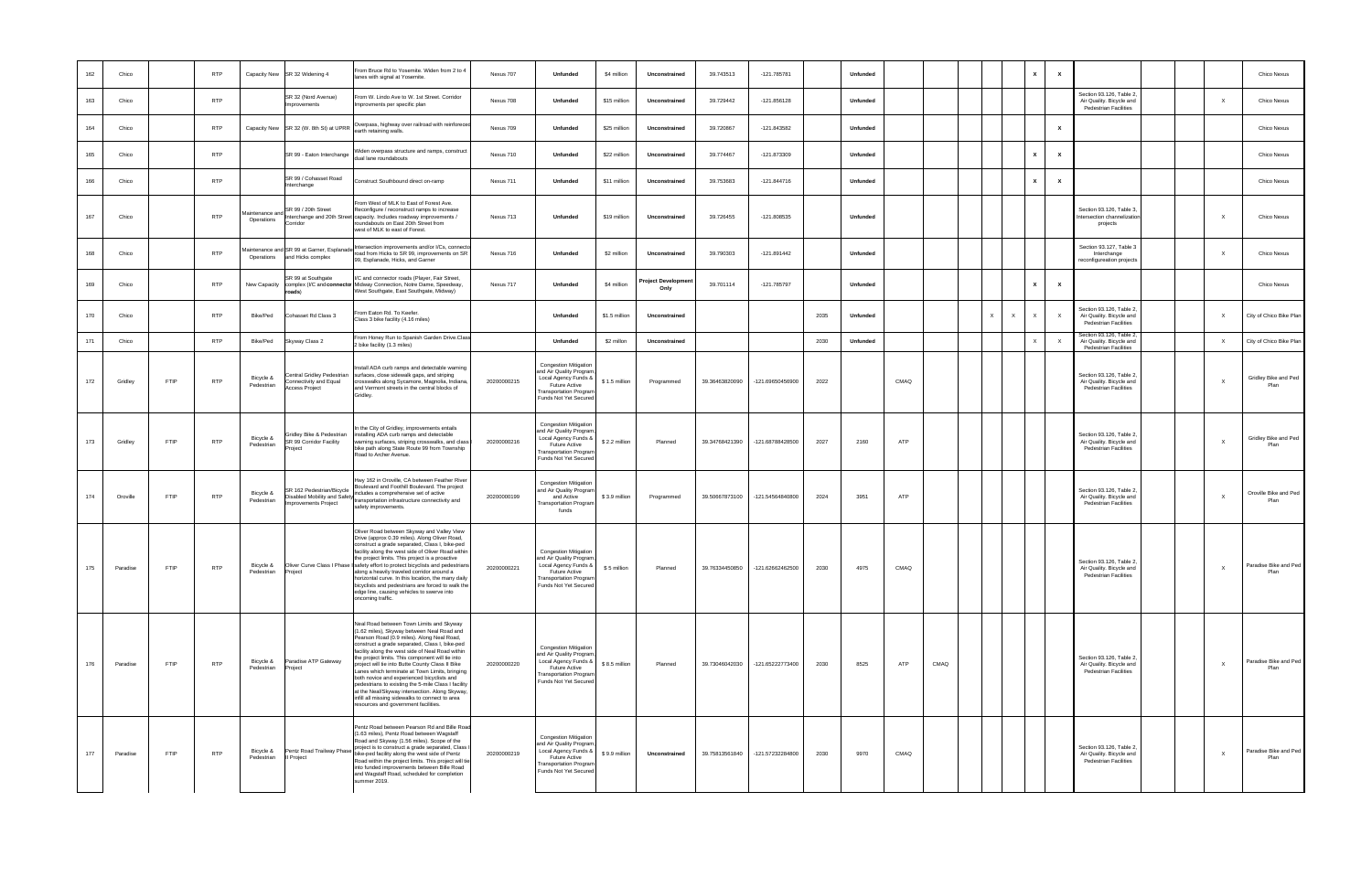| 162 | Chico    | <b>RTP</b>                | SR 32 Widening 4<br>Capacity New                                                                  | From Bruce Rd to Yosemite. Widen from 2 to 4<br>lanes with signal at Yosemite.                                                                                                                                                                                                                                                                                                                                                                                                                                                                                                                                                                         | Nexus 707   | Unfunded                                                                                                                                                           | \$4 million    | Unconstrained             | 39.743513      | -121.785781      |      | <b>Unfunded</b> |      |      | $\mathbf{x}$                             | $\mathbf{x}$ |                                                                                      |              | Chico Nexus                   |
|-----|----------|---------------------------|---------------------------------------------------------------------------------------------------|--------------------------------------------------------------------------------------------------------------------------------------------------------------------------------------------------------------------------------------------------------------------------------------------------------------------------------------------------------------------------------------------------------------------------------------------------------------------------------------------------------------------------------------------------------------------------------------------------------------------------------------------------------|-------------|--------------------------------------------------------------------------------------------------------------------------------------------------------------------|----------------|---------------------------|----------------|------------------|------|-----------------|------|------|------------------------------------------|--------------|--------------------------------------------------------------------------------------|--------------|-------------------------------|
| 163 | Chico    | <b>RTP</b>                | SR 32 (Nord Avenue)<br>mprovements                                                                | From W. Lindo Ave to W. 1st Street. Corridor<br>provments per specific plan                                                                                                                                                                                                                                                                                                                                                                                                                                                                                                                                                                            | Nexus 708   | Unfunded                                                                                                                                                           | \$15 million   | Unconstrained             | 39.729442      | $-121.856128$    |      | <b>Unfunded</b> |      |      |                                          |              | Section 93.126, Table 2,<br>Air Quality. Bicycle and<br>Pedestrian Facilities        | $\mathsf{X}$ | Chico Nexus                   |
| 164 | Chico    | <b>RTP</b>                | SR 32 (W. 8th St) at UPRR<br>Capacity New                                                         | Overpass, highway over railroad with reinforece<br>arth retaining walls.                                                                                                                                                                                                                                                                                                                                                                                                                                                                                                                                                                               | Nexus 709   | Unfunded                                                                                                                                                           | \$25 million   | Unconstrained             | 39.720867      | $-121.843582$    |      | <b>Unfunded</b> |      |      |                                          | $\mathbf{x}$ |                                                                                      |              | Chico Nexus                   |
| 165 | Chico    | <b>RTP</b>                | SR 99 - Eaton Interchange                                                                         | Viden overpass structure and ramps, construct<br>ual lane roundabouts                                                                                                                                                                                                                                                                                                                                                                                                                                                                                                                                                                                  | Nexus 710   | Unfunded                                                                                                                                                           | \$22 million   | Unconstrained             | 39.774467      | $-121.873309$    |      | <b>Unfunded</b> |      |      | $\mathbf{x}$                             | $\mathbf{x}$ |                                                                                      |              | Chico Nexus                   |
| 166 | Chico    | <b>RTP</b>                | SR 99 / Cohasset Road<br>Interchange                                                              | Construct Southbound direct on-ramp                                                                                                                                                                                                                                                                                                                                                                                                                                                                                                                                                                                                                    | Nexus 711   | Unfunded                                                                                                                                                           | \$11 million   | Unconstrained             | 39.753683      | $-121.844716$    |      | Unfunded        |      |      | $\mathbf{x}$                             | $\mathbf{x}$ |                                                                                      |              | Chico Nexus                   |
| 167 | Chico    | <b>RTP</b>                | SR 99 / 20th Street<br>Aaintenance and<br>Operations<br>Corridor                                  | rom West of MLK to East of Forest Ave.<br>Reconfigure / reconstruct ramps to increase<br>Interchange and 20th Street capacity. Includes roadway improvements /<br>roundabouts on East 20th Street from<br>vest of MLK to east of Forest.                                                                                                                                                                                                                                                                                                                                                                                                               | Nexus 713   | Unfunded                                                                                                                                                           | \$19 million   | Unconstrained             | 39.726455      | $-121.808535$    |      | <b>Unfunded</b> |      |      |                                          |              | Section 93.126, Table 3,<br>ntersection channelization<br>projects                   | $\mathsf{X}$ | Chico Nexus                   |
| 168 | Chico    | <b>RTP</b>                | laintenance and SR 99 at Garner, Esplanade<br>and Hicks complex<br>Operations                     | ntersection improvements and/or I/Cs, connect<br>bad from Hicks to SR 99, improvements on SR<br>99, Esplanade, Hicks, and Garner                                                                                                                                                                                                                                                                                                                                                                                                                                                                                                                       | Nexus 716   | Unfunded                                                                                                                                                           | \$2 million    | Unconstrained             | 39.790303      | $-121.891442$    |      | Unfunded        |      |      |                                          |              | Section 93.127, Table 3<br>Interchange<br>econfigureation projects                   | $\mathsf{X}$ | Chico Nexus                   |
| 169 | Chico    | <b>RTP</b>                | SR 99 at Southgate<br>New Capacity<br>roads)                                                      | /C and connector roads (Player, Fair Street,<br>complex (I/C and connector Midway Connection, Notre Dame, Speedway,<br>West Southgate, East Southgate, Midway)                                                                                                                                                                                                                                                                                                                                                                                                                                                                                         | Nexus 717   | Unfunded                                                                                                                                                           | \$4 million    | Project Developme<br>Only | 39.701114      | -121.785797      |      | Unfunded        |      |      | $\mathbf{x}$                             | $\mathbf{x}$ |                                                                                      |              | Chico Nexus                   |
| 170 | Chico    | <b>RTP</b>                | Cohasset Rd Class 3<br>Bike/Ped                                                                   | From Eaton Rd. To Keefer.<br>Class 3 bike facility (4.16 miles)                                                                                                                                                                                                                                                                                                                                                                                                                                                                                                                                                                                        |             | Unfunded                                                                                                                                                           | \$1.5 million  | Unconstrained             |                |                  | 2035 | Unfunded        |      |      | $\times$<br>$\mathsf{X}$<br>$\mathsf{x}$ | $\mathsf{X}$ | Section 93.126, Table 2,<br>Air Quality. Bicycle and<br><b>Pedestrian Facilities</b> | $\mathsf{x}$ | City of Chico Bike Plan       |
| 171 | Chico    | <b>RTP</b>                | Bike/Ped<br>Skyway Class 2                                                                        | From Honey Run to Spanish Garden Drive.Clas:<br>bike facility (1.3 miles)                                                                                                                                                                                                                                                                                                                                                                                                                                                                                                                                                                              |             | Unfunded                                                                                                                                                           | \$2 millon     | Unconstrained             |                |                  | 2030 | <b>Unfunded</b> |      |      | $\times$                                 | $\mathsf{X}$ | Section 93.126, Table 2,<br>Air Quality. Bicycle and<br>Pedestrian Facilities        | $\mathsf{X}$ | City of Chico Bike Plan       |
| 172 | Gridley  | <b>RTP</b><br>FTIP        | Central Gridley Pedestrian<br>Bicycle &<br>Connectivity and Equal<br>Pedestrian<br>Access Project | Install ADA curb ramps and detectable warning<br>surfaces, close sidewalk gaps, and striping<br>crosswalks along Sycamore, Magnolia, Indiana,<br>and Vermont streets in the central blocks of<br>Gridley.                                                                                                                                                                                                                                                                                                                                                                                                                                              | 20200000215 | Congestion Mitigation<br>and Air Quality Program,<br>Local Agency Funds &<br><b>Future Active</b><br>ransportation Program<br>Funds Not Yet Secured                | $$1.5$ million | Programmed                | 39.36463820090 | -121.69650456900 | 2022 |                 | CMAQ |      |                                          |              | Section 93.126, Table 2,<br>Air Quality. Bicycle and<br>Pedestrian Facilities        | $\mathsf{X}$ | Gridley Bike and Ped<br>Plan  |
| 173 | Gridley  | <b>FTIP</b><br><b>RTP</b> | Gridley Bike & Pedestrian<br>Bicycle &<br>SR 99 Corridor Facility<br>Pedestrian<br>Project        | n the City of Gridley, improvements entails<br>istalling ADA curb ramps and detectable<br>arning surfaces, striping crosswalks, and class<br>vike path along State Route 99 from Township<br>Road to Archer Avenue.                                                                                                                                                                                                                                                                                                                                                                                                                                    | 20200000216 | Congestion Mitigation<br>and Air Quality Program<br>Local Agency Funds &<br>Future Active<br>ransportation Progran<br>Funds Not Yet Secured                        | \$2.2 million  | Planned                   | 39.34768421390 | -121.68788428500 | 2027 | 2160            | ATP  |      |                                          |              | Section 93.126, Table 2,<br>Air Quality. Bicycle and<br>Pedestrian Facilities        | $\mathsf{X}$ | Gridley Bike and Ped<br>Plan  |
| 174 | Oroville | FTIP<br><b>RTP</b>        | Bicycle &<br>Pedestrian<br><b>Improvements Project</b>                                            | Hwy 162 in Oroville, CA between Feather Rive<br>Boulevard and Foothill Boulevard. The project<br>Disabled Mobility and Safety<br>transportation infrastructure connectivity and<br>safety improvements.                                                                                                                                                                                                                                                                                                                                                                                                                                                | 20200000199 | Congestion Mitigation<br>and Air Quality Program<br>and Active<br>ransportation Program<br>funds                                                                   | \$3.9 million  | Programmed                | 39.50667873100 | -121.54564840800 | 2024 | 3951            | ATP  |      |                                          |              | Section 93.126, Table 2,<br>Air Quality. Bicycle and<br><b>Pedestrian Facilities</b> | $\mathsf{X}$ | Oroville Bike and Ped<br>Plan |
| 175 | Paradise | <b>FTIP</b><br><b>RTP</b> | Bicycle &<br>Pedestrian<br>Project                                                                | Oliver Road between Skyway and Valley View<br>Drive (approx 0.39 miles). Along Oliver Road,<br>construct a grade separated, Class I, bike-ped<br>facility along the west side of Oliver Road within<br>the project limits. This project is a proactive<br>Oliver Curve Class I Phase I safety effort to protect bicyclists and pedestrians<br>along a heavily traveled corridor around a<br>horizontal curve. In this location, the many daily<br>bicyclists and pedestrians are forced to walk the<br>edge line, causing vehicles to swerve into<br>oncoming traffic.                                                                                 | 20200000221 | Congestion Mitigation<br>and Air Quality Program,<br>Local Agency Funds &<br><b>Future Active</b><br><b>Transportation Program</b><br>Funds Not Yet Secured        | \$5 million    | Planned                   | 39.76334450850 | -121.62662462500 | 2030 | 4975            | CMAQ |      |                                          |              | Section 93.126, Table 2,<br>Air Quality. Bicycle and<br>Pedestrian Facilities        | X            | Paradise Bike and Ped<br>Plan |
| 176 | Paradise | <b>RTP</b><br>FTIP        | Paradise ATP Gateway<br>Bicycle &<br>Pedestrian<br>Project                                        | Veal Road between Town Limits and Skyway<br>(1.62 miles), Skyway between Neal Road and<br>Pearson Road (0.9 miles). Along Neal Road,<br>construct a grade separated, Class I, bike-ped<br>facility along the west side of Neal Road within<br>the project limits. This component will tie into<br>project will tie into Butte County Class II Bike<br>Lanes which terminate at Town Limits, bringing<br>both novice and experienced bicyclists and<br>pedestrians to existing the 5-mile Class I facility<br>at the Neal/Skyway intersection. Along Skyway,<br>infill all missing sidewalks to connect to area<br>resources and government facilities. | 20200000220 | <b>Congestion Mitigation</b><br>and Air Quality Program,<br>Local Agency Funds &<br><b>Future Active</b><br><b>Transportation Program</b><br>Funds Not Yet Secured | \$8.5 million  | Planned                   | 39.73046042030 | -121.65222773400 | 2030 | 8525            | ATP  | CMAQ |                                          |              | Section 93.126, Table 2,<br>Air Quality. Bicycle and<br><b>Pedestrian Facilities</b> | $\mathsf{X}$ | Paradise Bike and Ped<br>Plan |
| 177 | Paradise | <b>FTIP</b><br><b>RTP</b> | Pentz Road Trailway Phase<br>Bicycle &<br>Pedestrian<br>Il Project                                | Pentz Road between Pearson Rd and Bille Road<br>(1.63 miles), Pentz Road between Wagstaff<br>Road and Skyway (1.56 miles). Scope of the<br>project is to construct a grade separated, Class<br>bike-ped facility along the west side of Pentz<br>Road within the project limits. This project will tie<br>into funded improvements between Bille Road<br>and Wagstaff Road, scheduled for completion<br>summer 2019.                                                                                                                                                                                                                                   | 20200000219 | Congestion Mitigation<br>and Air Quality Program<br>Local Agency Funds &<br>Future Active<br>ransportation Program<br>Funds Not Yet Secured                        | \$9.9 million  | Unconstrained             | 39.75813561840 | -121.57232284800 | 2030 | 9970            | CMAQ |      |                                          |              | Section 93.126, Table 2,<br>Air Quality. Bicycle and<br><b>Pedestrian Facilities</b> | $\times$     | Paradise Bike and Ped<br>Plan |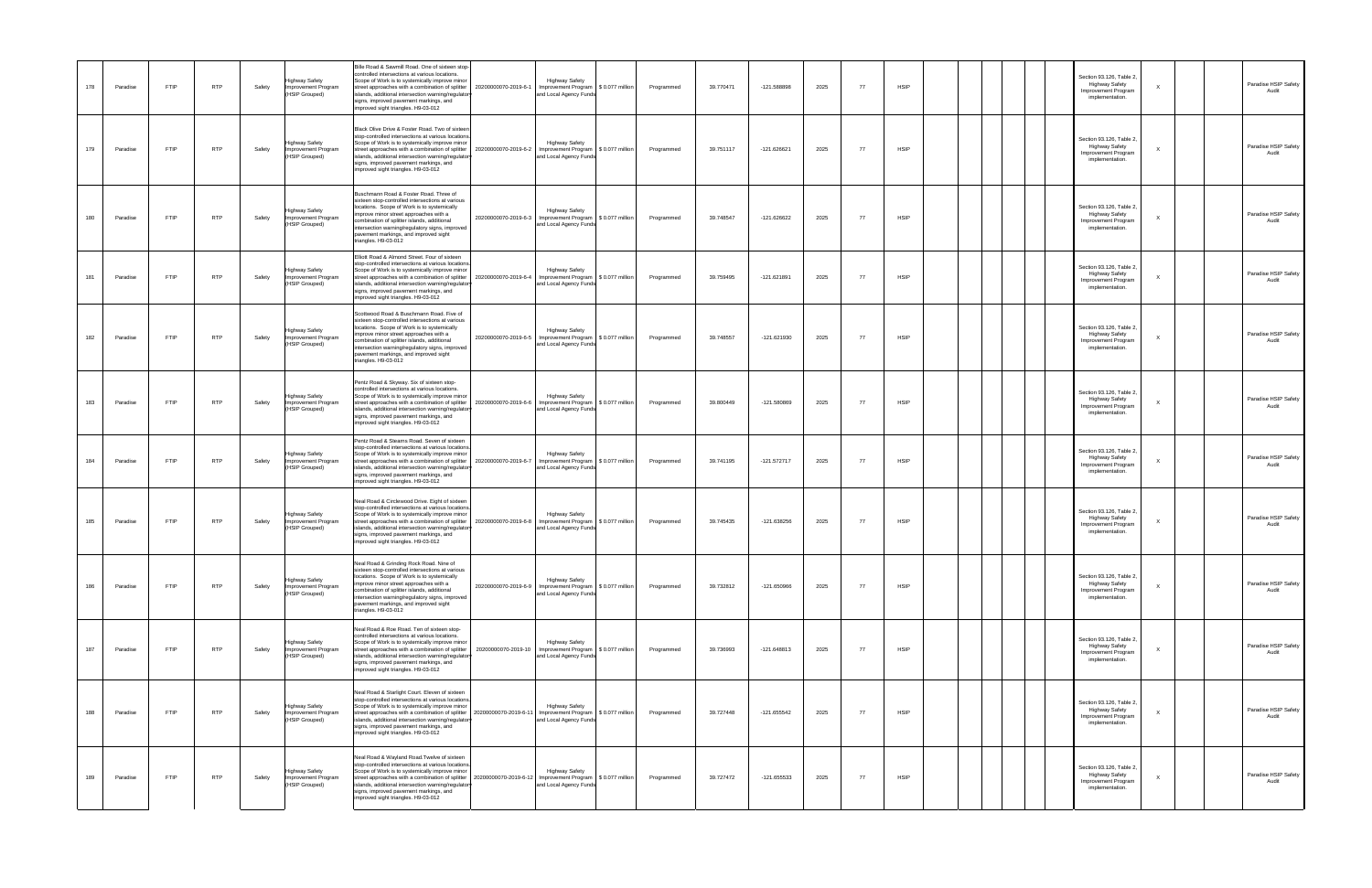| 178 | Paradise | FTIP        | <b>RTP</b> | Safety | Highway Safety<br>Improvement Program<br>(HSIP Grouped) | Bille Road & Sawmill Road. One of sixteen stop-<br>controlled intersections at various locations.<br>Scope of Work is to systemically improve minor<br>street approaches with a combination of splitter<br>islands, additional intersection warning/regulator<br>signs, improved pavement markings, and<br>improved sight triangles. H9-03-012           | <b>Highway Safety</b><br>20200000070-2019-6-1<br>Improvement Program<br>and Local Agency Funds                                                                       | \$0.077 million  | Programmed | 39.770471 | -121.588898   | 2025 | 77  | <b>HSIP</b> |  | Section 93.126, Table 2,<br><b>Highway Safety</b><br>mprovement Program<br>implementation.  | $\times$ | Paradise HSIP Safety<br>Audit |
|-----|----------|-------------|------------|--------|---------------------------------------------------------|----------------------------------------------------------------------------------------------------------------------------------------------------------------------------------------------------------------------------------------------------------------------------------------------------------------------------------------------------------|----------------------------------------------------------------------------------------------------------------------------------------------------------------------|------------------|------------|-----------|---------------|------|-----|-------------|--|---------------------------------------------------------------------------------------------|----------|-------------------------------|
| 179 | Paradise | FTIP        | <b>RTP</b> | Safety | Highway Safety<br>Improvement Program<br>(HSIP Grouped) | Black Olive Drive & Foster Road. Two of sixteen<br>stop-controlled intersections at various locations<br>Scope of Work is to systemically improve minor<br>islands, additional intersection warning/regulator<br>signs, improved pavement markings, and<br>improved sight triangles. H9-03-012                                                           | <b>Highway Safety</b><br>street approaches with a combination of splitter 2020000070-2019-6-2   Improvement Program   \$ 0.077 million<br>and Local Agency Funds     |                  | Programmed | 39.751117 | -121.626621   | 2025 | 77  | <b>HSIP</b> |  | Section 93.126, Table 2,<br><b>Highway Safety</b><br>Improvement Program<br>implementation. | X        | Paradise HSIP Safety<br>Audit |
| 180 | Paradise | FTIP        | <b>RTP</b> | Safety | Highway Safety<br>Improvement Program<br>(HSIP Grouped) | Buschmann Road & Foster Road. Three of<br>sixteen stop-controlled intersections at various<br>locations. Scope of Work is to systemically<br>improve minor street approaches with a<br>combination of splitter islands, additional<br>intersection warning/regulatory signs, improved<br>pavement markings, and improved sight<br>triangles. H9-03-012   | <b>Highway Safety</b><br>20200000070-2019-6-3 Improvement Program \$ 0.077 million<br>and Local Agency Funds                                                         |                  | Programmed | 39.748547 | -121.626622   | 2025 | 77  | <b>HSIP</b> |  | Section 93.126, Table 2,<br><b>Highway Safety</b><br>Improvement Program<br>implementation. | X        | Paradise HSIP Safety<br>Audit |
| 181 | Paradise | FTIP        | <b>RTP</b> | Safety | Highway Safety<br>Improvement Program<br>(HSIP Grouped) | Elliott Road & Almond Street. Four of sixteen<br>stop-controlled intersections at various locations.<br>Scope of Work is to systemically improve minor<br>street approaches with a combination of splitter<br>islands, additional intersection warning/regulator<br>signs, improved pavement markings, and<br>improved sight triangles. H9-03-012        | <b>Highway Safety</b><br>20200000070-2019-6-4<br>Improvement Program<br>and Local Agency Funds                                                                       | \$ 0.077 million | Programmed | 39.759495 | $-121.621891$ | 2025 | 77  | <b>HSIP</b> |  | Section 93.126, Table 2,<br><b>Highway Safety</b><br>Improvement Program<br>implementation. | X        | Paradise HSIP Safety<br>Audit |
| 182 | Paradise | FTIP        | <b>RTP</b> | Safety | Highway Safety<br>Improvement Program<br>(HSIP Grouped) | Scottwood Road & Buschmann Road. Five of<br>sixteen stop-controlled intersections at various<br>locations. Scope of Work is to systemically<br>improve minor street approaches with a<br>combination of splitter islands, additional<br>intersection warning/regulatory signs, improved<br>pavement markings, and improved sight<br>triangles. H9-03-012 | <b>Highway Safety</b><br>20200000070-2019-6-5 Improvement Program \$ 0.077 million<br>and Local Agency Funds                                                         |                  | Programmed | 39.748557 | $-121.621930$ | 2025 | 77  | <b>HSIP</b> |  | Section 93.126, Table 2,<br><b>Highway Safety</b><br>Improvement Program<br>implementation. | X        | Paradise HSIP Safety<br>Audit |
| 183 | Paradise | FTIP        | <b>RTP</b> | Safety | Highway Safety<br>Improvement Program<br>(HSIP Grouped) | Pentz Road & Skyway. Six of sixteen stop-<br>controlled intersections at various locations.<br>Scope of Work is to systemically improve minor<br>street approaches with a combination of splitter<br>islands, additional intersection warning/regulator<br>signs, improved pavement markings, and<br>improved sight triangles. H9-03-012                 | <b>Highway Safety</b><br>20200000070-2019-6-6<br>mprovement Program \$ 0.077 million<br>and Local Agency Funds                                                       |                  | Programmed | 39.800449 | -121.580869   | 2025 | 77  | <b>HSIP</b> |  | Section 93.126, Table 2,<br><b>Highway Safety</b><br>Improvement Program<br>implementation. | х        | Paradise HSIP Safety<br>Audit |
| 184 | Paradise | <b>FTIP</b> | <b>RTP</b> | Safety | Highway Safety<br>Improvement Program<br>(HSIP Grouped) | Pentz Road & Stearns Road. Seven of sixteen<br>stop-controlled intersections at various locations<br>Scope of Work is to systemically improve minor<br>street approaches with a combination of splitter<br>islands, additional intersection warning/regulator<br>signs, improved pavement markings, and<br>improved sight triangles. H9-03-012           | <b>Highway Safety</b><br>Improvement Program \$ 0.077 million<br>20200000070-2019-6-7<br>and Local Agency Funds                                                      |                  | Programmed | 39.741195 | $-121.572717$ | 2025 | -77 | <b>HSIP</b> |  | Section 93.126, Table 2,<br><b>Highway Safety</b><br>Improvement Program<br>implementation. | $\times$ | Paradise HSIP Safety          |
| 185 | Paradise | FTIP        | <b>RTP</b> | Safety | Highway Safety<br>Improvement Program<br>(HSIP Grouped) | Neal Road & Circlewood Drive. Eight of sixteen<br>stop-controlled intersections at various locations<br>cope of Work is to systemically improve minor<br>treet approaches with a combination of splitter<br>slands, additional intersection warning/regulator<br>signs, improved pavement markings, and<br>improved sight triangles. H9-03-012           | <b>Highway Safety</b><br>20200000070-2019-6-8<br>Improvement Program<br>and Local Agency Funds                                                                       | \$0.077 million  | Programmed | 39.745435 | -121.638256   | 2025 | 77  | <b>HSIP</b> |  | Section 93.126, Table 2,<br><b>Highway Safety</b><br>Improvement Program<br>implementation. | $\times$ | Paradise HSIP Safety<br>Audit |
| 186 | Paradise | FTIP        | <b>RTP</b> | Safety | Highway Safety<br>Improvement Program<br>(HSIP Grouped) | Neal Road & Grinding Rock Road. Nine of<br>sixteen stop-controlled intersections at various<br>locations. Scope of Work is to systemically<br>improve minor street approaches with a<br>combination of splitter islands, additional<br>intersection warning/regulatory signs, improved<br>pavement markings, and improved sight<br>triangles. H9-03-012  | <b>Highway Safety</b><br>20200000070-2019-6-9   Improvement Program   \$ 0.077 million<br>and Local Agency Funds                                                     |                  | Programmed | 39.732812 | -121.650966   | 2025 | 77  | <b>HSIP</b> |  | Section 93.126, Table 2,<br><b>Highway Safety</b><br>Improvement Program<br>implementation. |          | Paradise HSIP Safety<br>Audit |
| 187 | Paradise | FTIP        | <b>RTP</b> | Safety | Highway Safety<br>Improvement Program<br>(HSIP Grouped) | Neal Road & Roe Road. Ten of sixteen stop-<br>controlled intersections at various locations.<br>Scope of Work is to systemically improve minor<br>street approaches with a combination of splitter<br>islands, additional intersection warning/regulator<br>signs, improved pavement markings, and<br>improved sight triangles. H9-03-012                | <b>Highway Safety</b><br>and Local Agency Funds                                                                                                                      |                  | Programmed | 39.736993 | $-121.648813$ | 2025 | 77  | <b>HSIP</b> |  | Section 93.126, Table 2,<br><b>Highway Safety</b><br>Improvement Program<br>implementation. | $\times$ | Paradise HSIP Safety<br>Audit |
| 188 | Paradise | FTIP        | <b>RTP</b> | Safety | Highway Safety<br>Improvement Program<br>(HSIP Grouped) | Neal Road & Starlight Court. Eleven of sixteen<br>stop-controlled intersections at various locations<br>Scope of Work is to systemically improve minor<br>islands, additional intersection warning/regulator<br>signs, improved pavement markings, and<br>improved sight triangles. H9-03-012                                                            | <b>Highway Safety</b><br>street approaches with a combination of splitter   20200000070-2019-6-11   Improvement Program   \$ 0.077 million<br>and Local Agency Funds |                  | Programmed | 39.727448 | -121.655542   | 2025 | 77  | <b>HSIP</b> |  | Section 93.126, Table 2,<br><b>Highway Safety</b><br>mprovement Program<br>implementation.  | $\times$ | Paradise HSIP Safety<br>Audit |
| 189 | Paradise | FTIP        | <b>RTP</b> | Safety | Highway Safety<br>Improvement Program<br>(HSIP Grouped) | Neal Road & Wayland Road. Twelve of sixteen<br>stop-controlled intersections at various locations<br>Scope of Work is to systemically improve minor<br>islands, additional intersection warning/regulator<br>signs, improved pavement markings, and<br>improved sight triangles. H9-03-012                                                               | <b>Highway Safety</b><br>street approaches with a combination of splitter   2020000070-2019-6-12   Improvement Program   \$ 0.077 million<br>and Local Agency Funds  |                  | Programmed | 39.727472 | -121.655533   | 2025 | 77  | <b>HSIP</b> |  | Section 93.126, Table 2,<br>Highway Safety<br>Improvement Program<br>implementation.        | $\times$ | Paradise HSIP Safety<br>Audit |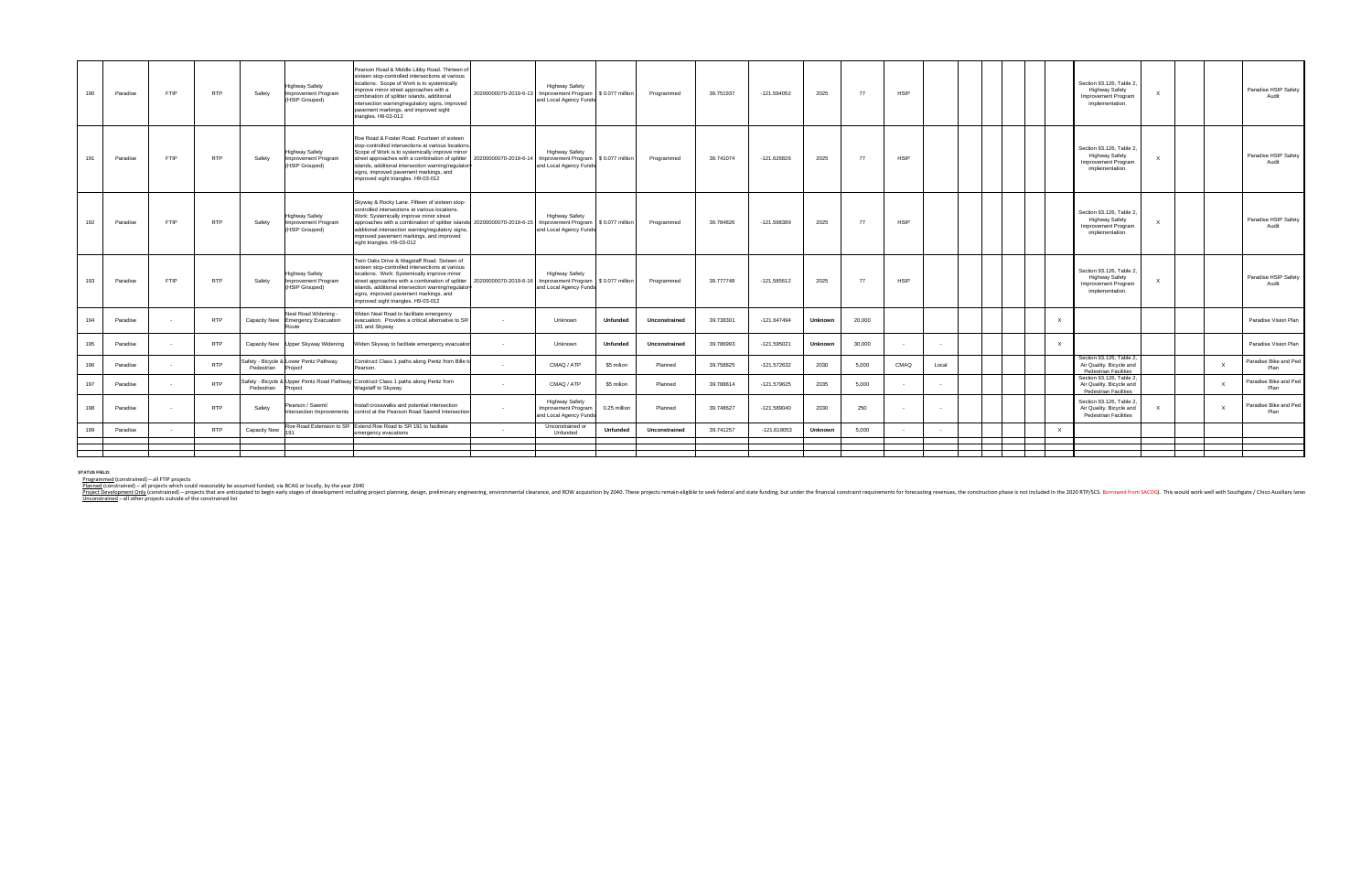| Roe Road & Foster Road, Fourteen of sixteen<br>stop-controlled intersections at various locations<br>Section 93.126, Table 2,<br><b>Highway Safety</b><br>Scope of Work is to systemically improve minor<br><b>Highway Safety</b><br><b>Highway Safety</b><br><b>RTP</b><br><b>HSIP</b><br>FTIP<br>Improvement Program<br>\$0.077 million<br>$-121.626826$<br>2025<br>191<br>Paradise<br>Safety<br>street approaches with a combination of splitter<br>20200000070-2019-6-14 Improvement Program  <br>Programmed<br>39.741074<br>77<br>Improvement Program<br>(HSIP Grouped)<br>islands, additional intersection warning/regulator<br>and Local Agency Funds<br>implementation.<br>signs, improved pavement markings, and<br>improved sight triangles. H9-03-012<br>Skyway & Rocky Lane. Fifteen of sixteen stop-<br>controlled intersections at various locations.<br>Section 93.126. Table 2.<br><b>Highway Safety</b><br>Work: Systemically improve minor street<br><b>Highway Safety</b><br><b>Highway Safety</b><br><b>RTP</b><br><b>HSIP</b><br>192<br><b>FTIP</b><br>Safety<br>Improvement Program<br>approaches with a combination of splitter islands 20200000070-2019-6-15<br>Improvement Program<br>\$ 0.077 million<br>39.784826<br>-121.598389<br>2025<br>77<br>Paradise<br>Programmed<br>Improvement Program<br>(HSIP Grouped)<br>additional intersection warning/regulatory signs,<br>and Local Agency Funds<br>implementation.<br>improved pavement markings, and improved<br>sight triangles. H9-03-012<br>Twin Oaks Drive & Wagstaff Road. Sixteen of<br>sixteen stop-controlled intersections at various<br>Section 93.126, Table 2.<br>locations. Work: Systemically improve minor<br><b>Highway Safety</b><br><b>Highway Safety</b><br><b>Highway Safety</b><br><b>RTP</b><br>$-121.585612$<br><b>HSIP</b><br>193<br><b>FTIP</b><br>20200000070-2019-6-16 Improvement Program \$ 0.077 million<br>39,777748<br>2025<br>Safety<br>Improvement Program<br>street approaches with a combination of splitter<br>77<br>Paradise<br>Programmed<br>Improvement Program<br>(HSIP Grouped)<br>and Local Agency Funds<br>islands, additional intersection warning/regulator<br>implementation.<br>signs, improved pavement markings, and<br>improved sight triangles. H9-03-012<br>Neal Road Widening -<br>Widen Neal Road to facilitate emergency<br>194<br><b>RTP</b><br>evacuation. Provides a critical alternative to SR<br>39.738301<br>$-121.647494$<br>Unknown<br>20,000<br>$\mathsf{x}$<br>Paradise<br>Capacity New Emergency Evacuation<br>Unknown<br><b>Unfunded</b><br>Unconstrained<br>$\sim$<br>Route<br>191 and Skyway<br>195<br><b>RTP</b><br>$-121.595021$<br>$\mathsf{x}$<br>Capacity New Upper Skyway Widening<br>/iden Skyway to faciltate emergency evacuatior<br>39.786993<br>30,000<br>Paradise<br>Unknown<br>Unknown<br>$\sim 100$<br>Unfunded<br>Unconstrained<br>$\sim$ $-$<br>Section 93.126, Table 2,<br>Safety - Bicycle & Lower Pentz Pathway<br>Construct Class 1 paths along Pentz from Bille t<br><b>RTP</b><br>CMAQ / ATP<br>$-121.572632$<br>CMAQ<br>196<br>\$5 milion<br>39.758825<br>2030<br>5,000<br>Air Quality. Bicycle and<br>Planned<br>Local<br>Paradise<br>$\sim$<br>Projecf<br>Pedestrian<br>Pearson.<br>Pedestrian Facilities<br>Section 93.126, Table 2,<br>Safety - Bicycle & Upper Pentz Road Pathway Construct Class 1 paths along Pentz from<br>197<br><b>RTP</b><br>CMAQ / ATP<br>\$5 milion<br>39.788814<br>$-121.579625$<br>2035<br>5,000<br>Planned<br>Air Quality. Bicycle and<br>Paradise<br>$\sim$<br>Vagstaff to Skyway.<br>Pedestrian<br>Project<br><b>Pedestrian Facilities</b><br>Section 93.126, Table 2,<br><b>Highway Safety</b><br>Pearson / Sawmil<br>Install crosswalks and potential intersection<br><b>RTP</b><br>$\sim$<br>$\sim$ | Paradise HSIP Safety<br>Audit | Section 93.126, Table 2,<br><b>Highway Safety</b><br>Improvement Program<br>implementation. |  |  | <b>HSIP</b> | 77  | 2025 | $-121.594052$ | 39.751937 | Programmed | \$0.077 million | <b>Highway Safety</b><br>20200000070-2019-6-13 Improvement Program<br>and Local Agency Funds | Pearson Road & Middle Libby Road. Thirteen of<br>sixteen stop-controlled intersections at various<br>locations. Scope of Work is to systemically<br>improve minor street approaches with a<br>combination of splitter islands, additional<br>intersection warning/regulatory signs, improved<br>pavement markings, and improved sight<br>triangles. H9-03-012 | <b>Highway Safety</b><br>Improvement Program<br>(HSIP Grouped) | Safety | <b>RTP</b> | <b>FTIP</b> | Paradise | 190 |
|--------------------------------------------------------------------------------------------------------------------------------------------------------------------------------------------------------------------------------------------------------------------------------------------------------------------------------------------------------------------------------------------------------------------------------------------------------------------------------------------------------------------------------------------------------------------------------------------------------------------------------------------------------------------------------------------------------------------------------------------------------------------------------------------------------------------------------------------------------------------------------------------------------------------------------------------------------------------------------------------------------------------------------------------------------------------------------------------------------------------------------------------------------------------------------------------------------------------------------------------------------------------------------------------------------------------------------------------------------------------------------------------------------------------------------------------------------------------------------------------------------------------------------------------------------------------------------------------------------------------------------------------------------------------------------------------------------------------------------------------------------------------------------------------------------------------------------------------------------------------------------------------------------------------------------------------------------------------------------------------------------------------------------------------------------------------------------------------------------------------------------------------------------------------------------------------------------------------------------------------------------------------------------------------------------------------------------------------------------------------------------------------------------------------------------------------------------------------------------------------------------------------------------------------------------------------------------------------------------------------------------------------------------------------------------------------------------------------------------------------------------------------------------------------------------------------------------------------------------------------------------------------------------------------------------------------------------------------------------------------------------------------------------------------------------------------------------------------------------------------------------------------------------------------------------------------------------------------------------------------------------------------------------------------------------------------------------------------------------------------------------------------------------------------------------------------------------------------------------------------------------------------------------------------------------------------------------------------------------------------------------------------------------------------------------------------------------------------------------------------------------------------------------------------------------------------|-------------------------------|---------------------------------------------------------------------------------------------|--|--|-------------|-----|------|---------------|-----------|------------|-----------------|----------------------------------------------------------------------------------------------|---------------------------------------------------------------------------------------------------------------------------------------------------------------------------------------------------------------------------------------------------------------------------------------------------------------------------------------------------------------|----------------------------------------------------------------|--------|------------|-------------|----------|-----|
|                                                                                                                                                                                                                                                                                                                                                                                                                                                                                                                                                                                                                                                                                                                                                                                                                                                                                                                                                                                                                                                                                                                                                                                                                                                                                                                                                                                                                                                                                                                                                                                                                                                                                                                                                                                                                                                                                                                                                                                                                                                                                                                                                                                                                                                                                                                                                                                                                                                                                                                                                                                                                                                                                                                                                                                                                                                                                                                                                                                                                                                                                                                                                                                                                                                                                                                                                                                                                                                                                                                                                                                                                                                                                                                                                                                                                    | Paradise HSIP Safety<br>Audit |                                                                                             |  |  |             |     |      |               |           |            |                 |                                                                                              |                                                                                                                                                                                                                                                                                                                                                               |                                                                |        |            |             |          |     |
|                                                                                                                                                                                                                                                                                                                                                                                                                                                                                                                                                                                                                                                                                                                                                                                                                                                                                                                                                                                                                                                                                                                                                                                                                                                                                                                                                                                                                                                                                                                                                                                                                                                                                                                                                                                                                                                                                                                                                                                                                                                                                                                                                                                                                                                                                                                                                                                                                                                                                                                                                                                                                                                                                                                                                                                                                                                                                                                                                                                                                                                                                                                                                                                                                                                                                                                                                                                                                                                                                                                                                                                                                                                                                                                                                                                                                    | Paradise HSIP Safety<br>Audit |                                                                                             |  |  |             |     |      |               |           |            |                 |                                                                                              |                                                                                                                                                                                                                                                                                                                                                               |                                                                |        |            |             |          |     |
|                                                                                                                                                                                                                                                                                                                                                                                                                                                                                                                                                                                                                                                                                                                                                                                                                                                                                                                                                                                                                                                                                                                                                                                                                                                                                                                                                                                                                                                                                                                                                                                                                                                                                                                                                                                                                                                                                                                                                                                                                                                                                                                                                                                                                                                                                                                                                                                                                                                                                                                                                                                                                                                                                                                                                                                                                                                                                                                                                                                                                                                                                                                                                                                                                                                                                                                                                                                                                                                                                                                                                                                                                                                                                                                                                                                                                    | Paradise HSIP Safety<br>Audit |                                                                                             |  |  |             |     |      |               |           |            |                 |                                                                                              |                                                                                                                                                                                                                                                                                                                                                               |                                                                |        |            |             |          |     |
|                                                                                                                                                                                                                                                                                                                                                                                                                                                                                                                                                                                                                                                                                                                                                                                                                                                                                                                                                                                                                                                                                                                                                                                                                                                                                                                                                                                                                                                                                                                                                                                                                                                                                                                                                                                                                                                                                                                                                                                                                                                                                                                                                                                                                                                                                                                                                                                                                                                                                                                                                                                                                                                                                                                                                                                                                                                                                                                                                                                                                                                                                                                                                                                                                                                                                                                                                                                                                                                                                                                                                                                                                                                                                                                                                                                                                    | Paradise Vision Plan          |                                                                                             |  |  |             |     |      |               |           |            |                 |                                                                                              |                                                                                                                                                                                                                                                                                                                                                               |                                                                |        |            |             |          |     |
|                                                                                                                                                                                                                                                                                                                                                                                                                                                                                                                                                                                                                                                                                                                                                                                                                                                                                                                                                                                                                                                                                                                                                                                                                                                                                                                                                                                                                                                                                                                                                                                                                                                                                                                                                                                                                                                                                                                                                                                                                                                                                                                                                                                                                                                                                                                                                                                                                                                                                                                                                                                                                                                                                                                                                                                                                                                                                                                                                                                                                                                                                                                                                                                                                                                                                                                                                                                                                                                                                                                                                                                                                                                                                                                                                                                                                    | Paradise Vision Plan          |                                                                                             |  |  |             |     |      |               |           |            |                 |                                                                                              |                                                                                                                                                                                                                                                                                                                                                               |                                                                |        |            |             |          |     |
|                                                                                                                                                                                                                                                                                                                                                                                                                                                                                                                                                                                                                                                                                                                                                                                                                                                                                                                                                                                                                                                                                                                                                                                                                                                                                                                                                                                                                                                                                                                                                                                                                                                                                                                                                                                                                                                                                                                                                                                                                                                                                                                                                                                                                                                                                                                                                                                                                                                                                                                                                                                                                                                                                                                                                                                                                                                                                                                                                                                                                                                                                                                                                                                                                                                                                                                                                                                                                                                                                                                                                                                                                                                                                                                                                                                                                    | Paradise Bike and Ped<br>Plan |                                                                                             |  |  |             |     |      |               |           |            |                 |                                                                                              |                                                                                                                                                                                                                                                                                                                                                               |                                                                |        |            |             |          |     |
|                                                                                                                                                                                                                                                                                                                                                                                                                                                                                                                                                                                                                                                                                                                                                                                                                                                                                                                                                                                                                                                                                                                                                                                                                                                                                                                                                                                                                                                                                                                                                                                                                                                                                                                                                                                                                                                                                                                                                                                                                                                                                                                                                                                                                                                                                                                                                                                                                                                                                                                                                                                                                                                                                                                                                                                                                                                                                                                                                                                                                                                                                                                                                                                                                                                                                                                                                                                                                                                                                                                                                                                                                                                                                                                                                                                                                    | Paradise Bike and Ped<br>Plan |                                                                                             |  |  |             |     |      |               |           |            |                 |                                                                                              |                                                                                                                                                                                                                                                                                                                                                               |                                                                |        |            |             |          |     |
| and Local Agency Funds<br><b>Pedestrian Facilities</b>                                                                                                                                                                                                                                                                                                                                                                                                                                                                                                                                                                                                                                                                                                                                                                                                                                                                                                                                                                                                                                                                                                                                                                                                                                                                                                                                                                                                                                                                                                                                                                                                                                                                                                                                                                                                                                                                                                                                                                                                                                                                                                                                                                                                                                                                                                                                                                                                                                                                                                                                                                                                                                                                                                                                                                                                                                                                                                                                                                                                                                                                                                                                                                                                                                                                                                                                                                                                                                                                                                                                                                                                                                                                                                                                                             | Paradise Bike and Ped<br>Plan | Air Quality. Bicycle and                                                                    |  |  |             | 250 | 2030 | $-121.589040$ | 39.748627 | Planned    | 0.25 million    | Improvement Program                                                                          | control at the Pearson Road Sawmil Intersection                                                                                                                                                                                                                                                                                                               | Intersection Improvements                                      | Safety |            |             | Paradise | 198 |
| Roe Road Extension to SR Extend Roe Road to SR 191 to faciliate<br>Unconstrained or<br><b>RTP</b><br>199<br>Capacity New<br>39.741257<br>$-121.618053$<br>5,000<br>Paradise<br>Unfunded<br>Unknown<br>Unconstrained<br>191<br>Unfunded<br>emergency evacations                                                                                                                                                                                                                                                                                                                                                                                                                                                                                                                                                                                                                                                                                                                                                                                                                                                                                                                                                                                                                                                                                                                                                                                                                                                                                                                                                                                                                                                                                                                                                                                                                                                                                                                                                                                                                                                                                                                                                                                                                                                                                                                                                                                                                                                                                                                                                                                                                                                                                                                                                                                                                                                                                                                                                                                                                                                                                                                                                                                                                                                                                                                                                                                                                                                                                                                                                                                                                                                                                                                                                     |                               |                                                                                             |  |  |             |     |      |               |           |            |                 |                                                                                              |                                                                                                                                                                                                                                                                                                                                                               |                                                                |        |            |             |          |     |
|                                                                                                                                                                                                                                                                                                                                                                                                                                                                                                                                                                                                                                                                                                                                                                                                                                                                                                                                                                                                                                                                                                                                                                                                                                                                                                                                                                                                                                                                                                                                                                                                                                                                                                                                                                                                                                                                                                                                                                                                                                                                                                                                                                                                                                                                                                                                                                                                                                                                                                                                                                                                                                                                                                                                                                                                                                                                                                                                                                                                                                                                                                                                                                                                                                                                                                                                                                                                                                                                                                                                                                                                                                                                                                                                                                                                                    |                               |                                                                                             |  |  |             |     |      |               |           |            |                 |                                                                                              |                                                                                                                                                                                                                                                                                                                                                               |                                                                |        |            |             |          |     |

sTarus memod<br>Planned (constrained) – all FTP projects which could reasonably be assumed funded, via BCAG or locally, by the year 2040<br>Planned (constrained) – all other projects which could reasonably be assumed funded, via